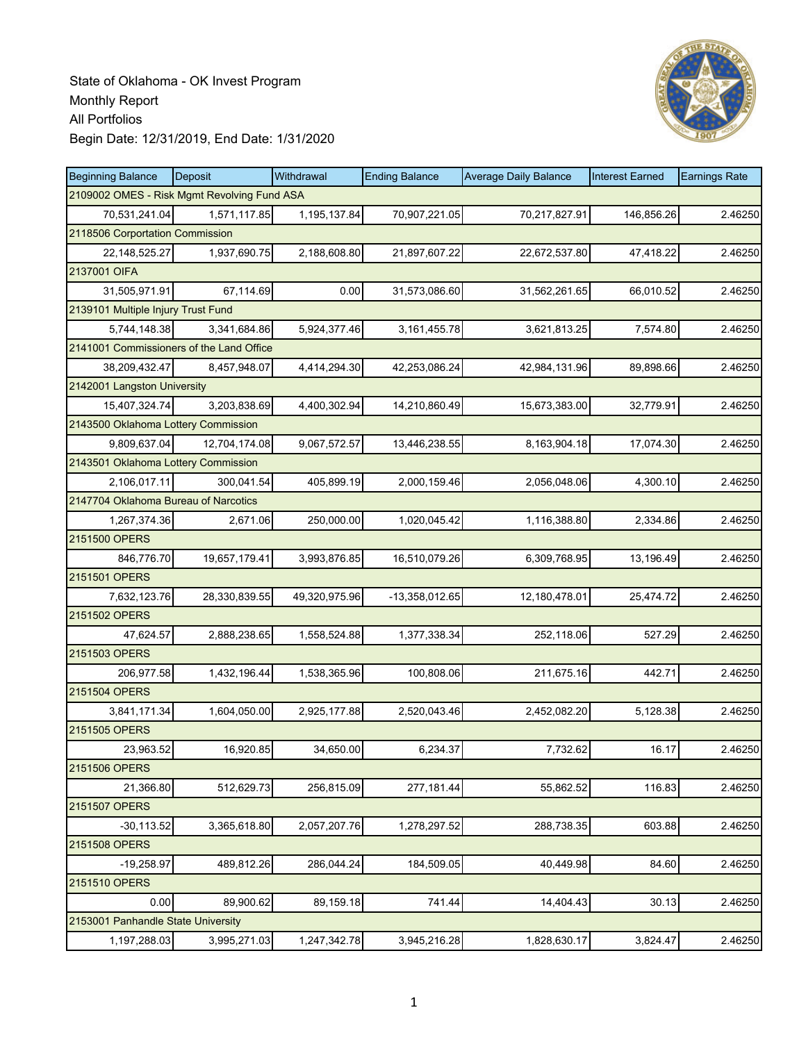

| <b>Beginning Balance</b>                    | Deposit       | Withdrawal    | <b>Ending Balance</b> | <b>Average Daily Balance</b> | <b>Interest Earned</b> | <b>Earnings Rate</b> |  |  |
|---------------------------------------------|---------------|---------------|-----------------------|------------------------------|------------------------|----------------------|--|--|
| 2109002 OMES - Risk Mgmt Revolving Fund ASA |               |               |                       |                              |                        |                      |  |  |
| 70.531.241.04                               | 1,571,117.85  | 1,195,137.84  | 70,907,221.05         | 70,217,827.91                | 146,856.26             | 2.46250              |  |  |
| 2118506 Corportation Commission             |               |               |                       |                              |                        |                      |  |  |
| 22, 148, 525. 27                            | 1,937,690.75  | 2,188,608.80  | 21,897,607.22         | 22,672,537.80                | 47,418.22              | 2.46250              |  |  |
| 2137001 OIFA                                |               |               |                       |                              |                        |                      |  |  |
| 31,505,971.91                               | 67,114.69     | 0.00          | 31,573,086.60         | 31,562,261.65                | 66,010.52              | 2.46250              |  |  |
| 2139101 Multiple Injury Trust Fund          |               |               |                       |                              |                        |                      |  |  |
| 5,744,148.38                                | 3,341,684.86  | 5,924,377.46  | 3, 161, 455. 78       | 3,621,813.25                 | 7,574.80               | 2.46250              |  |  |
| 2141001 Commissioners of the Land Office    |               |               |                       |                              |                        |                      |  |  |
| 38,209,432.47                               | 8,457,948.07  | 4,414,294.30  | 42,253,086.24         | 42,984,131.96                | 89,898.66              | 2.46250              |  |  |
| 2142001 Langston University                 |               |               |                       |                              |                        |                      |  |  |
| 15,407,324.74                               | 3,203,838.69  | 4,400,302.94  | 14,210,860.49         | 15,673,383.00                | 32,779.91              | 2.46250              |  |  |
| 2143500 Oklahoma Lottery Commission         |               |               |                       |                              |                        |                      |  |  |
| 9,809,637.04                                | 12,704,174.08 | 9,067,572.57  | 13,446,238.55         | 8,163,904.18                 | 17,074.30              | 2.46250              |  |  |
| 2143501 Oklahoma Lottery Commission         |               |               |                       |                              |                        |                      |  |  |
| 2,106,017.11                                | 300.041.54    | 405,899.19    | 2,000,159.46          | 2,056,048.06                 | 4,300.10               | 2.46250              |  |  |
| 2147704 Oklahoma Bureau of Narcotics        |               |               |                       |                              |                        |                      |  |  |
| 1,267,374.36                                | 2,671.06      | 250,000.00    | 1,020,045.42          | 1,116,388.80                 | 2,334.86               | 2.46250              |  |  |
| 2151500 OPERS                               |               |               |                       |                              |                        |                      |  |  |
| 846,776.70                                  | 19,657,179.41 | 3,993,876.85  | 16,510,079.26         | 6,309,768.95                 | 13,196.49              | 2.46250              |  |  |
| 2151501 OPERS                               |               |               |                       |                              |                        |                      |  |  |
| 7,632,123.76                                | 28,330,839.55 | 49,320,975.96 | -13,358,012.65        | 12,180,478.01                | 25,474.72              | 2.46250              |  |  |
| 2151502 OPERS                               |               |               |                       |                              |                        |                      |  |  |
| 47,624.57                                   | 2,888,238.65  | 1,558,524.88  | 1,377,338.34          | 252,118.06                   | 527.29                 | 2.46250              |  |  |
| 2151503 OPERS                               |               |               |                       |                              |                        |                      |  |  |
| 206,977.58                                  | 1,432,196.44  | 1,538,365.96  | 100,808.06            | 211,675.16                   | 442.71                 | 2.46250              |  |  |
| 2151504 OPERS                               |               |               |                       |                              |                        |                      |  |  |
| 3,841,171.34                                | 1,604,050.00  | 2,925,177.88  | 2,520,043.46          | 2,452,082.20                 | 5,128.38               | 2.46250              |  |  |
| 2151505 OPERS                               |               |               |                       |                              |                        |                      |  |  |
| 23.963.52                                   | 16,920.85     | 34,650.00     | 6,234.37              | 7,732.62                     | 16.17                  | 2.46250              |  |  |
| 2151506 OPERS                               |               |               |                       |                              |                        |                      |  |  |
| 21,366.80                                   | 512,629.73    | 256,815.09    | 277,181.44            | 55,862.52                    | 116.83                 | 2.46250              |  |  |
| 2151507 OPERS                               |               |               |                       |                              |                        |                      |  |  |
| $-30, 113.52$                               | 3,365,618.80  | 2,057,207.76  | 1,278,297.52          | 288,738.35                   | 603.88                 | 2.46250              |  |  |
| 2151508 OPERS                               |               |               |                       |                              |                        |                      |  |  |
| $-19,258.97$                                | 489,812.26    | 286,044.24    | 184,509.05            | 40,449.98                    | 84.60                  | 2.46250              |  |  |
| 2151510 OPERS                               |               |               |                       |                              |                        |                      |  |  |
| 0.00                                        | 89,900.62     | 89,159.18     | 741.44                | 14,404.43                    | 30.13                  | 2.46250              |  |  |
| 2153001 Panhandle State University          |               |               |                       |                              |                        |                      |  |  |
| 1,197,288.03                                | 3,995,271.03  | 1,247,342.78  | 3,945,216.28          | 1,828,630.17                 | 3,824.47               | 2.46250              |  |  |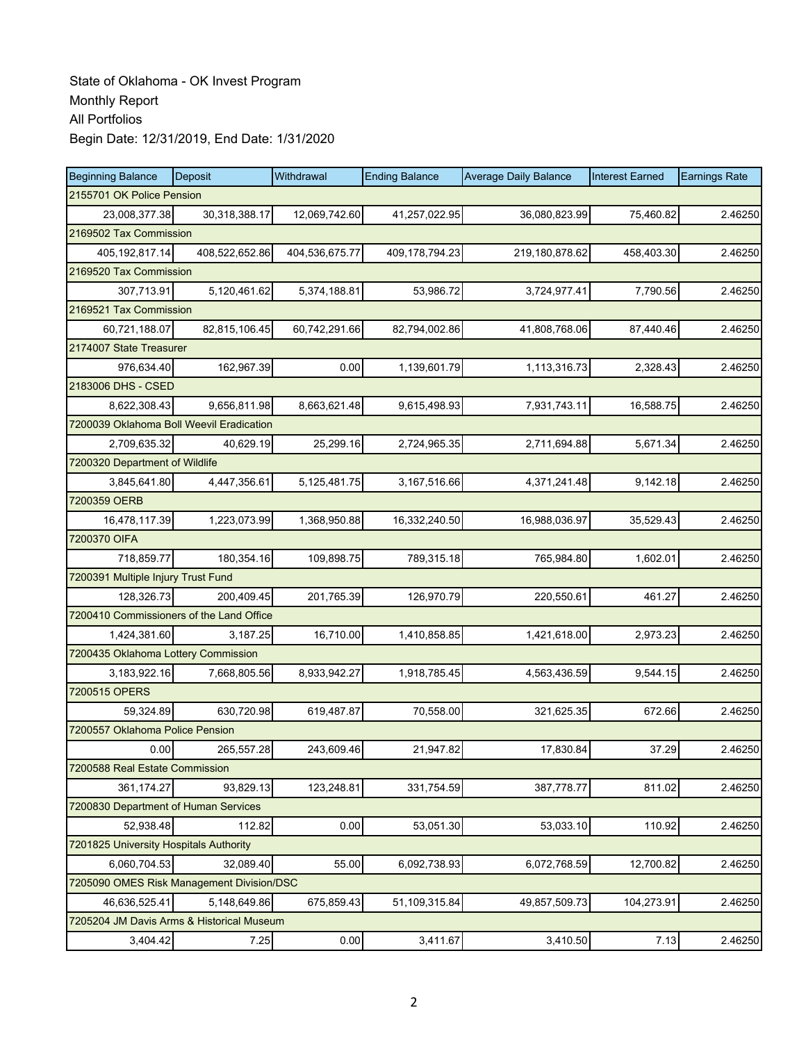| <b>Beginning Balance</b>                  | Deposit        | Withdrawal     | <b>Ending Balance</b> | <b>Average Daily Balance</b> | <b>Interest Earned</b> | <b>Earnings Rate</b> |
|-------------------------------------------|----------------|----------------|-----------------------|------------------------------|------------------------|----------------------|
| 2155701 OK Police Pension                 |                |                |                       |                              |                        |                      |
| 23,008,377.38                             | 30,318,388.17  | 12,069,742.60  | 41,257,022.95         | 36,080,823.99                | 75,460.82              | 2.46250              |
| 2169502 Tax Commission                    |                |                |                       |                              |                        |                      |
| 405,192,817.14                            | 408,522,652.86 | 404,536,675.77 | 409,178,794.23        | 219,180,878.62               | 458,403.30             | 2.46250              |
| 2169520 Tax Commission                    |                |                |                       |                              |                        |                      |
| 307,713.91                                | 5,120,461.62   | 5,374,188.81   | 53,986.72             | 3,724,977.41                 | 7,790.56               | 2.46250              |
| 2169521 Tax Commission                    |                |                |                       |                              |                        |                      |
| 60,721,188.07                             | 82,815,106.45  | 60,742,291.66  | 82,794,002.86         | 41,808,768.06                | 87,440.46              | 2.46250              |
| 2174007 State Treasurer                   |                |                |                       |                              |                        |                      |
| 976,634.40                                | 162,967.39     | 0.00           | 1,139,601.79          | 1,113,316.73                 | 2,328.43               | 2.46250              |
| 2183006 DHS - CSED                        |                |                |                       |                              |                        |                      |
| 8,622,308.43                              | 9,656,811.98   | 8,663,621.48   | 9,615,498.93          | 7,931,743.11                 | 16,588.75              | 2.46250              |
| 7200039 Oklahoma Boll Weevil Eradication  |                |                |                       |                              |                        |                      |
| 2,709,635.32                              | 40,629.19      | 25,299.16      | 2,724,965.35          | 2,711,694.88                 | 5,671.34               | 2.46250              |
| 7200320 Department of Wildlife            |                |                |                       |                              |                        |                      |
| 3,845,641.80                              | 4,447,356.61   | 5,125,481.75   | 3,167,516.66          | 4,371,241.48                 | 9,142.18               | 2.46250              |
| 7200359 OERB                              |                |                |                       |                              |                        |                      |
| 16,478,117.39                             | 1,223,073.99   | 1,368,950.88   | 16,332,240.50         | 16,988,036.97                | 35,529.43              | 2.46250              |
| 7200370 OIFA                              |                |                |                       |                              |                        |                      |
| 718,859.77                                | 180,354.16     | 109,898.75     | 789,315.18            | 765,984.80                   | 1,602.01               | 2.46250              |
| 7200391 Multiple Injury Trust Fund        |                |                |                       |                              |                        |                      |
| 128,326.73                                | 200,409.45     | 201,765.39     | 126,970.79            | 220,550.61                   | 461.27                 | 2.46250              |
| 7200410 Commissioners of the Land Office  |                |                |                       |                              |                        |                      |
| 1,424,381.60                              | 3,187.25       | 16,710.00      | 1,410,858.85          | 1,421,618.00                 | 2,973.23               | 2.46250              |
| 7200435 Oklahoma Lottery Commission       |                |                |                       |                              |                        |                      |
| 3,183,922.16                              | 7,668,805.56   | 8,933,942.27   | 1,918,785.45          | 4,563,436.59                 | 9,544.15               | 2.46250              |
| 7200515 OPERS                             |                |                |                       |                              |                        |                      |
| 59,324.89                                 | 630,720.98     | 619,487.87     | 70,558.00             | 321,625.35                   | 672.66                 | 2.46250              |
| 7200557 Oklahoma Police Pension           |                |                |                       |                              |                        |                      |
| 0.00                                      | 265,557.28     | 243,609.46     | 21,947.82             | 17,830.84                    | 37.29                  | 2.46250              |
| 7200588 Real Estate Commission            |                |                |                       |                              |                        |                      |
| 361,174.27                                | 93,829.13      | 123,248.81     | 331,754.59            | 387,778.77                   | 811.02                 | 2.46250              |
| 7200830 Department of Human Services      |                |                |                       |                              |                        |                      |
| 52,938.48                                 | 112.82         | 0.00           | 53,051.30             | 53,033.10                    | 110.92                 | 2.46250              |
| 7201825 University Hospitals Authority    |                |                |                       |                              |                        |                      |
| 6,060,704.53                              | 32,089.40      | 55.00          | 6,092,738.93          | 6,072,768.59                 | 12,700.82              | 2.46250              |
| 7205090 OMES Risk Management Division/DSC |                |                |                       |                              |                        |                      |
| 46,636,525.41                             | 5,148,649.86   | 675.859.43     | 51,109,315.84         | 49,857,509.73                | 104,273.91             | 2.46250              |
| 7205204 JM Davis Arms & Historical Museum |                |                |                       |                              |                        |                      |
| 3,404.42                                  | 7.25           | 0.00           | 3,411.67              | 3,410.50                     | 7.13                   | 2.46250              |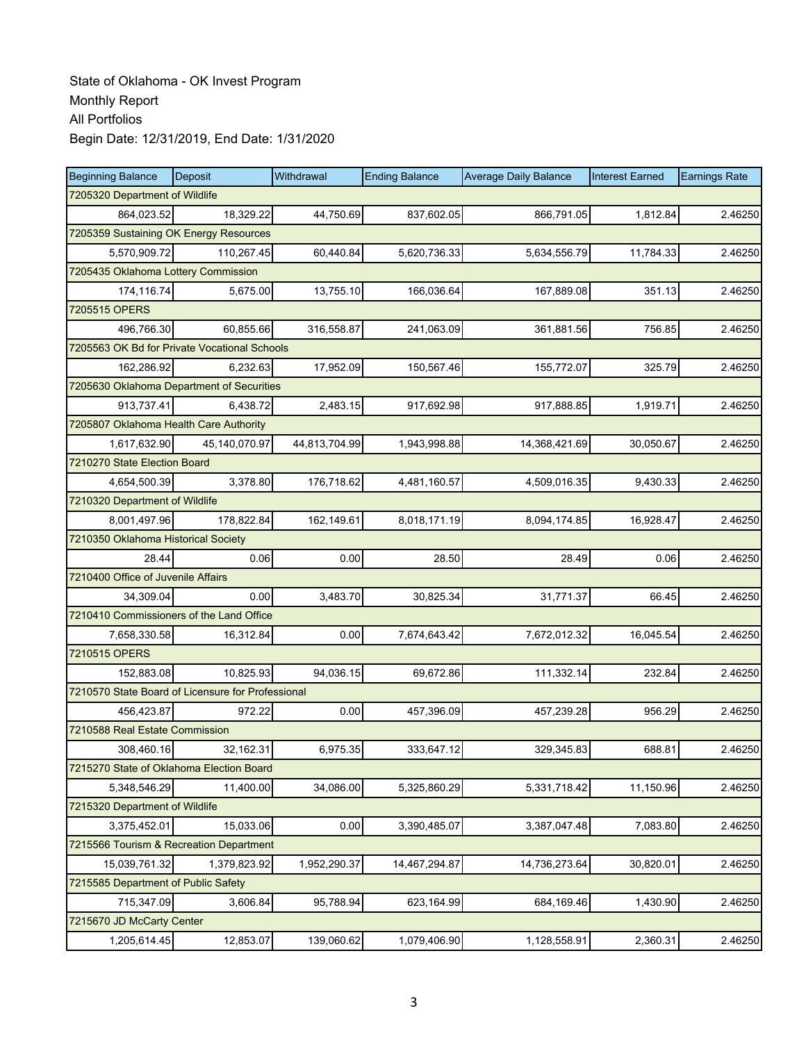| <b>Beginning Balance</b>                          | Deposit                        | Withdrawal    | <b>Ending Balance</b> | <b>Average Daily Balance</b> | <b>Interest Earned</b> | <b>Earnings Rate</b> |  |  |
|---------------------------------------------------|--------------------------------|---------------|-----------------------|------------------------------|------------------------|----------------------|--|--|
|                                                   | 7205320 Department of Wildlife |               |                       |                              |                        |                      |  |  |
| 864,023.52                                        | 18,329.22                      | 44,750.69     | 837,602.05            | 866,791.05                   | 1,812.84               | 2.46250              |  |  |
| 7205359 Sustaining OK Energy Resources            |                                |               |                       |                              |                        |                      |  |  |
| 5,570,909.72                                      | 110,267.45                     | 60,440.84     | 5,620,736.33          | 5,634,556.79                 | 11,784.33              | 2.46250              |  |  |
| 7205435 Oklahoma Lottery Commission               |                                |               |                       |                              |                        |                      |  |  |
| 174,116.74                                        | 5,675.00                       | 13,755.10     | 166,036.64            | 167,889.08                   | 351.13                 | 2.46250              |  |  |
| 7205515 OPERS                                     |                                |               |                       |                              |                        |                      |  |  |
| 496,766.30                                        | 60,855.66                      | 316,558.87    | 241,063.09            | 361,881.56                   | 756.85                 | 2.46250              |  |  |
| 7205563 OK Bd for Private Vocational Schools      |                                |               |                       |                              |                        |                      |  |  |
| 162,286.92                                        | 6,232.63                       | 17,952.09     | 150,567.46            | 155,772.07                   | 325.79                 | 2.46250              |  |  |
| 7205630 Oklahoma Department of Securities         |                                |               |                       |                              |                        |                      |  |  |
| 913,737.41                                        | 6,438.72                       | 2,483.15      | 917,692.98            | 917,888.85                   | 1,919.71               | 2.46250              |  |  |
| 7205807 Oklahoma Health Care Authority            |                                |               |                       |                              |                        |                      |  |  |
| 1,617,632.90                                      | 45,140,070.97                  | 44,813,704.99 | 1,943,998.88          | 14,368,421.69                | 30,050.67              | 2.46250              |  |  |
| 7210270 State Election Board                      |                                |               |                       |                              |                        |                      |  |  |
| 4,654,500.39                                      | 3,378.80                       | 176,718.62    | 4,481,160.57          | 4,509,016.35                 | 9,430.33               | 2.46250              |  |  |
| 7210320 Department of Wildlife                    |                                |               |                       |                              |                        |                      |  |  |
| 8,001,497.96                                      | 178,822.84                     | 162,149.61    | 8,018,171.19          | 8,094,174.85                 | 16,928.47              | 2.46250              |  |  |
| 7210350 Oklahoma Historical Society               |                                |               |                       |                              |                        |                      |  |  |
| 28.44                                             | 0.06                           | 0.00          | 28.50                 | 28.49                        | 0.06                   | 2.46250              |  |  |
| 7210400 Office of Juvenile Affairs                |                                |               |                       |                              |                        |                      |  |  |
| 34,309.04                                         | 0.00                           | 3,483.70      | 30,825.34             | 31,771.37                    | 66.45                  | 2.46250              |  |  |
| 7210410 Commissioners of the Land Office          |                                |               |                       |                              |                        |                      |  |  |
| 7,658,330.58                                      | 16,312.84                      | 0.00          | 7,674,643.42          | 7,672,012.32                 | 16,045.54              | 2.46250              |  |  |
| 7210515 OPERS                                     |                                |               |                       |                              |                        |                      |  |  |
| 152,883.08                                        | 10,825.93                      | 94,036.15     | 69,672.86             | 111,332.14                   | 232.84                 | 2.46250              |  |  |
| 7210570 State Board of Licensure for Professional |                                |               |                       |                              |                        |                      |  |  |
| 456,423.87                                        | 972.22                         | 0.00          | 457,396.09            | 457,239.28                   | 956.29                 | 2.46250              |  |  |
| 7210588 Real Estate Commission                    |                                |               |                       |                              |                        |                      |  |  |
| 308,460.16                                        | 32,162.31                      | 6,975.35      | 333.647.12            | 329,345.83                   | 688.81                 | 2.46250              |  |  |
| 7215270 State of Oklahoma Election Board          |                                |               |                       |                              |                        |                      |  |  |
| 5,348,546.29                                      | 11,400.00                      | 34,086.00     | 5,325,860.29          | 5,331,718.42                 | 11,150.96              | 2.46250              |  |  |
| 7215320 Department of Wildlife                    |                                |               |                       |                              |                        |                      |  |  |
| 3,375,452.01                                      | 15,033.06                      | 0.00          | 3,390,485.07          | 3,387,047.48                 | 7,083.80               | 2.46250              |  |  |
| 7215566 Tourism & Recreation Department           |                                |               |                       |                              |                        |                      |  |  |
| 15,039,761.32                                     | 1,379,823.92                   | 1,952,290.37  | 14,467,294.87         | 14,736,273.64                | 30,820.01              | 2.46250              |  |  |
| 7215585 Department of Public Safety               |                                |               |                       |                              |                        |                      |  |  |
| 715,347.09                                        | 3,606.84                       | 95,788.94     | 623,164.99            | 684,169.46                   | 1,430.90               | 2.46250              |  |  |
| 7215670 JD McCarty Center                         |                                |               |                       |                              |                        |                      |  |  |
| 1,205,614.45                                      | 12,853.07                      | 139,060.62    | 1,079,406.90          | 1,128,558.91                 | 2,360.31               | 2.46250              |  |  |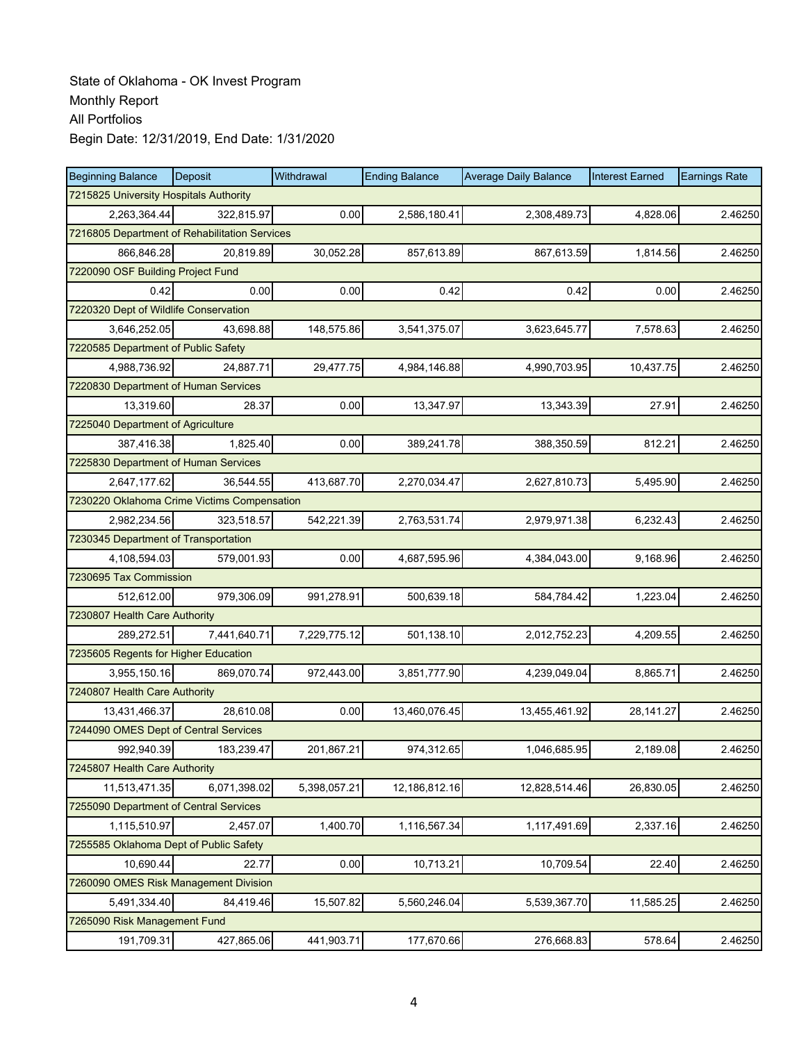| <b>Beginning Balance</b>                      | <b>Deposit</b> | Withdrawal   | <b>Ending Balance</b> | <b>Average Daily Balance</b> | <b>Interest Earned</b> | <b>Earnings Rate</b> |  |  |  |
|-----------------------------------------------|----------------|--------------|-----------------------|------------------------------|------------------------|----------------------|--|--|--|
| 7215825 University Hospitals Authority        |                |              |                       |                              |                        |                      |  |  |  |
| 2,263,364.44                                  | 322,815.97     | 0.00         | 2,586,180.41          | 2,308,489.73                 | 4,828.06               | 2.46250              |  |  |  |
| 7216805 Department of Rehabilitation Services |                |              |                       |                              |                        |                      |  |  |  |
| 866,846.28                                    | 20,819.89      | 30,052.28    | 857,613.89            | 867,613.59                   | 1,814.56               | 2.46250              |  |  |  |
| 7220090 OSF Building Project Fund             |                |              |                       |                              |                        |                      |  |  |  |
| 0.42                                          | 0.00           | 0.00         | 0.42                  | 0.42                         | 0.00                   | 2.46250              |  |  |  |
| 7220320 Dept of Wildlife Conservation         |                |              |                       |                              |                        |                      |  |  |  |
| 3,646,252.05                                  | 43.698.88      | 148,575.86   | 3,541,375.07          | 3,623,645.77                 | 7,578.63               | 2.46250              |  |  |  |
| 7220585 Department of Public Safety           |                |              |                       |                              |                        |                      |  |  |  |
| 4,988,736.92                                  | 24,887.71      | 29,477.75    | 4,984,146.88          | 4,990,703.95                 | 10,437.75              | 2.46250              |  |  |  |
| 7220830 Department of Human Services          |                |              |                       |                              |                        |                      |  |  |  |
| 13,319.60                                     | 28.37          | 0.00         | 13,347.97             | 13,343.39                    | 27.91                  | 2.46250              |  |  |  |
| 7225040 Department of Agriculture             |                |              |                       |                              |                        |                      |  |  |  |
| 387,416.38                                    | 1,825.40       | 0.00         | 389,241.78            | 388,350.59                   | 812.21                 | 2.46250              |  |  |  |
| 7225830 Department of Human Services          |                |              |                       |                              |                        |                      |  |  |  |
| 2,647,177.62                                  | 36,544.55      | 413,687.70   | 2,270,034.47          | 2,627,810.73                 | 5,495.90               | 2.46250              |  |  |  |
| 7230220 Oklahoma Crime Victims Compensation   |                |              |                       |                              |                        |                      |  |  |  |
| 2,982,234.56                                  | 323,518.57     | 542,221.39   | 2,763,531.74          | 2,979,971.38                 | 6,232.43               | 2.46250              |  |  |  |
| 7230345 Department of Transportation          |                |              |                       |                              |                        |                      |  |  |  |
| 4,108,594.03                                  | 579,001.93     | 0.00         | 4,687,595.96          | 4,384,043.00                 | 9,168.96               | 2.46250              |  |  |  |
| 7230695 Tax Commission                        |                |              |                       |                              |                        |                      |  |  |  |
| 512,612.00                                    | 979,306.09     | 991,278.91   | 500,639.18            | 584,784.42                   | 1,223.04               | 2.46250              |  |  |  |
| 7230807 Health Care Authority                 |                |              |                       |                              |                        |                      |  |  |  |
| 289,272.51                                    | 7,441,640.71   | 7,229,775.12 | 501,138.10            | 2,012,752.23                 | 4,209.55               | 2.46250              |  |  |  |
| 7235605 Regents for Higher Education          |                |              |                       |                              |                        |                      |  |  |  |
| 3,955,150.16                                  | 869,070.74     | 972,443.00   | 3,851,777.90          | 4,239,049.04                 | 8,865.71               | 2.46250              |  |  |  |
| 7240807 Health Care Authority                 |                |              |                       |                              |                        |                      |  |  |  |
| 13,431,466.37                                 | 28,610.08      | 0.00         | 13,460,076.45         | 13,455,461.92                | 28,141.27              | 2.46250              |  |  |  |
| 7244090 OMES Dept of Central Services         |                |              |                       |                              |                        |                      |  |  |  |
| 992,940.39                                    | 183,239.47     | 201,867.21   | 974,312.65            | 1,046,685.95                 | 2,189.08               | 2.46250              |  |  |  |
| 7245807 Health Care Authority                 |                |              |                       |                              |                        |                      |  |  |  |
| 11,513,471.35                                 | 6,071,398.02   | 5,398,057.21 | 12,186,812.16         | 12,828,514.46                | 26,830.05              | 2.46250              |  |  |  |
| 7255090 Department of Central Services        |                |              |                       |                              |                        |                      |  |  |  |
| 1,115,510.97                                  | 2,457.07       | 1,400.70     | 1,116,567.34          | 1,117,491.69                 | 2,337.16               | 2.46250              |  |  |  |
| 7255585 Oklahoma Dept of Public Safety        |                |              |                       |                              |                        |                      |  |  |  |
| 10,690.44                                     | 22.77          | 0.00         | 10,713.21             | 10,709.54                    | 22.40                  | 2.46250              |  |  |  |
| 7260090 OMES Risk Management Division         |                |              |                       |                              |                        |                      |  |  |  |
| 5,491,334.40                                  | 84,419.46      | 15,507.82    | 5,560,246.04          | 5,539,367.70                 | 11,585.25              | 2.46250              |  |  |  |
| 7265090 Risk Management Fund                  |                |              |                       |                              |                        |                      |  |  |  |
| 191,709.31                                    | 427,865.06     | 441,903.71   | 177,670.66            | 276,668.83                   | 578.64                 | 2.46250              |  |  |  |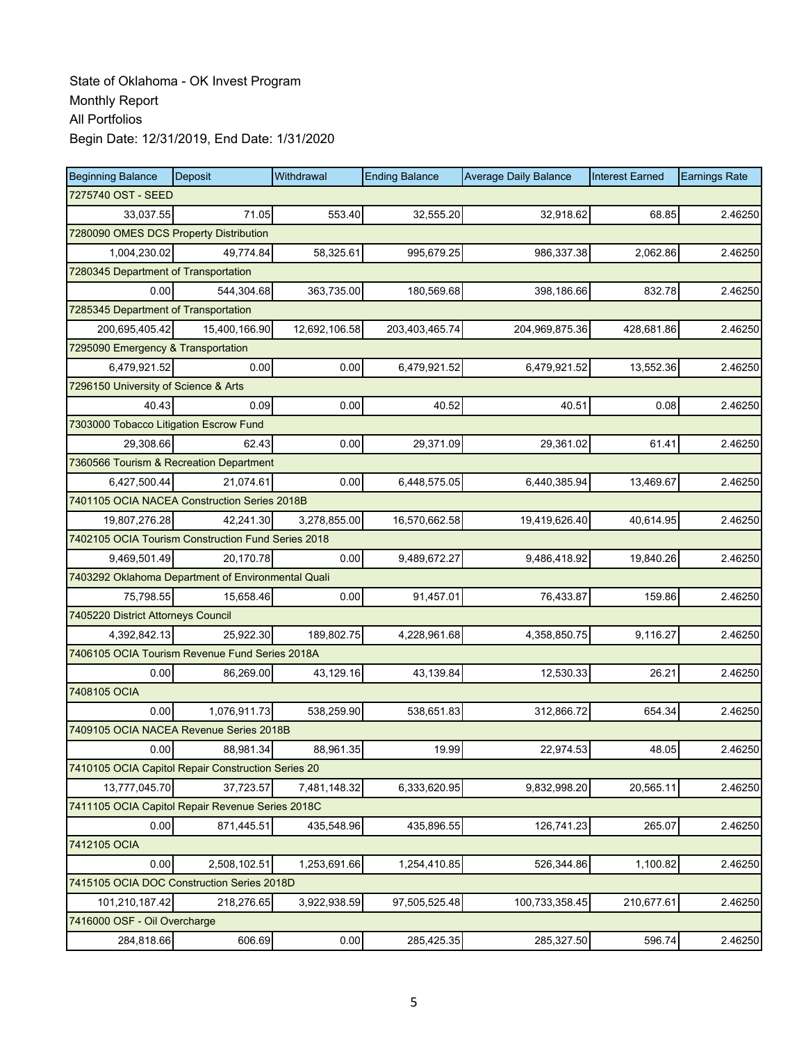| <b>Beginning Balance</b>                           | <b>Deposit</b> | Withdrawal    | <b>Ending Balance</b> | <b>Average Daily Balance</b> | <b>Interest Earned</b> | <b>Earnings Rate</b> |
|----------------------------------------------------|----------------|---------------|-----------------------|------------------------------|------------------------|----------------------|
| 7275740 OST - SEED                                 |                |               |                       |                              |                        |                      |
| 33,037.55                                          | 71.05          | 553.40        | 32,555.20             | 32,918.62                    | 68.85                  | 2.46250              |
| 7280090 OMES DCS Property Distribution             |                |               |                       |                              |                        |                      |
| 1,004,230.02                                       | 49,774.84      | 58,325.61     | 995,679.25            | 986,337.38                   | 2,062.86               | 2.46250              |
| 7280345 Department of Transportation               |                |               |                       |                              |                        |                      |
| 0.00                                               | 544,304.68     | 363,735.00    | 180,569.68            | 398,186.66                   | 832.78                 | 2.46250              |
| 7285345 Department of Transportation               |                |               |                       |                              |                        |                      |
| 200,695,405.42                                     | 15,400,166.90  | 12,692,106.58 | 203,403,465.74        | 204,969,875.36               | 428,681.86             | 2.46250              |
| 7295090 Emergency & Transportation                 |                |               |                       |                              |                        |                      |
| 6,479,921.52                                       | 0.00           | 0.00          | 6,479,921.52          | 6,479,921.52                 | 13,552.36              | 2.46250              |
| 7296150 University of Science & Arts               |                |               |                       |                              |                        |                      |
| 40.43                                              | 0.09           | 0.00          | 40.52                 | 40.51                        | 0.08                   | 2.46250              |
| 7303000 Tobacco Litigation Escrow Fund             |                |               |                       |                              |                        |                      |
| 29,308.66                                          | 62.43          | 0.00          | 29,371.09             | 29,361.02                    | 61.41                  | 2.46250              |
| 7360566 Tourism & Recreation Department            |                |               |                       |                              |                        |                      |
| 6,427,500.44                                       | 21,074.61      | 0.00          | 6,448,575.05          | 6,440,385.94                 | 13,469.67              | 2.46250              |
| 7401105 OCIA NACEA Construction Series 2018B       |                |               |                       |                              |                        |                      |
| 19,807,276.28                                      | 42.241.30      | 3,278,855.00  | 16,570,662.58         | 19,419,626.40                | 40,614.95              | 2.46250              |
| 7402105 OCIA Tourism Construction Fund Series 2018 |                |               |                       |                              |                        |                      |
| 9,469,501.49                                       | 20,170.78      | 0.00          | 9,489,672.27          | 9,486,418.92                 | 19,840.26              | 2.46250              |
| 7403292 Oklahoma Department of Environmental Quali |                |               |                       |                              |                        |                      |
| 75,798.55                                          | 15,658.46      | 0.00          | 91,457.01             | 76,433.87                    | 159.86                 | 2.46250              |
| 7405220 District Attorneys Council                 |                |               |                       |                              |                        |                      |
| 4,392,842.13                                       | 25,922.30      | 189,802.75    | 4,228,961.68          | 4,358,850.75                 | 9,116.27               | 2.46250              |
| 7406105 OCIA Tourism Revenue Fund Series 2018A     |                |               |                       |                              |                        |                      |
| 0.00                                               | 86,269.00      | 43,129.16     | 43,139.84             | 12,530.33                    | 26.21                  | 2.46250              |
| 7408105 OCIA                                       |                |               |                       |                              |                        |                      |
| 0.00                                               | 1,076,911.73   | 538,259.90    | 538,651.83            | 312,866.72                   | 654.34                 | 2.46250              |
| 7409105 OCIA NACEA Revenue Series 2018B            |                |               |                       |                              |                        |                      |
| 0.00                                               | 88,981.34      | 88,961.35     | 19.99                 | 22,974.53                    | 48.05                  | 2.46250              |
| 7410105 OCIA Capitol Repair Construction Series 20 |                |               |                       |                              |                        |                      |
| 13,777,045.70                                      | 37,723.57      | 7,481,148.32  | 6,333,620.95          | 9,832,998.20                 | 20,565.11              | 2.46250              |
| 7411105 OCIA Capitol Repair Revenue Series 2018C   |                |               |                       |                              |                        |                      |
| 0.00                                               | 871,445.51     | 435,548.96    | 435,896.55            | 126,741.23                   | 265.07                 | 2.46250              |
| 7412105 OCIA                                       |                |               |                       |                              |                        |                      |
| 0.00                                               | 2,508,102.51   | 1,253,691.66  | 1,254,410.85          | 526,344.86                   | 1,100.82               | 2.46250              |
| 7415105 OCIA DOC Construction Series 2018D         |                |               |                       |                              |                        |                      |
| 101,210,187.42                                     | 218,276.65     | 3,922,938.59  | 97,505,525.48         | 100,733,358.45               | 210,677.61             | 2.46250              |
| 7416000 OSF - Oil Overcharge                       |                |               |                       |                              |                        |                      |
| 284,818.66                                         | 606.69         | 0.00          | 285,425.35            | 285,327.50                   | 596.74                 | 2.46250              |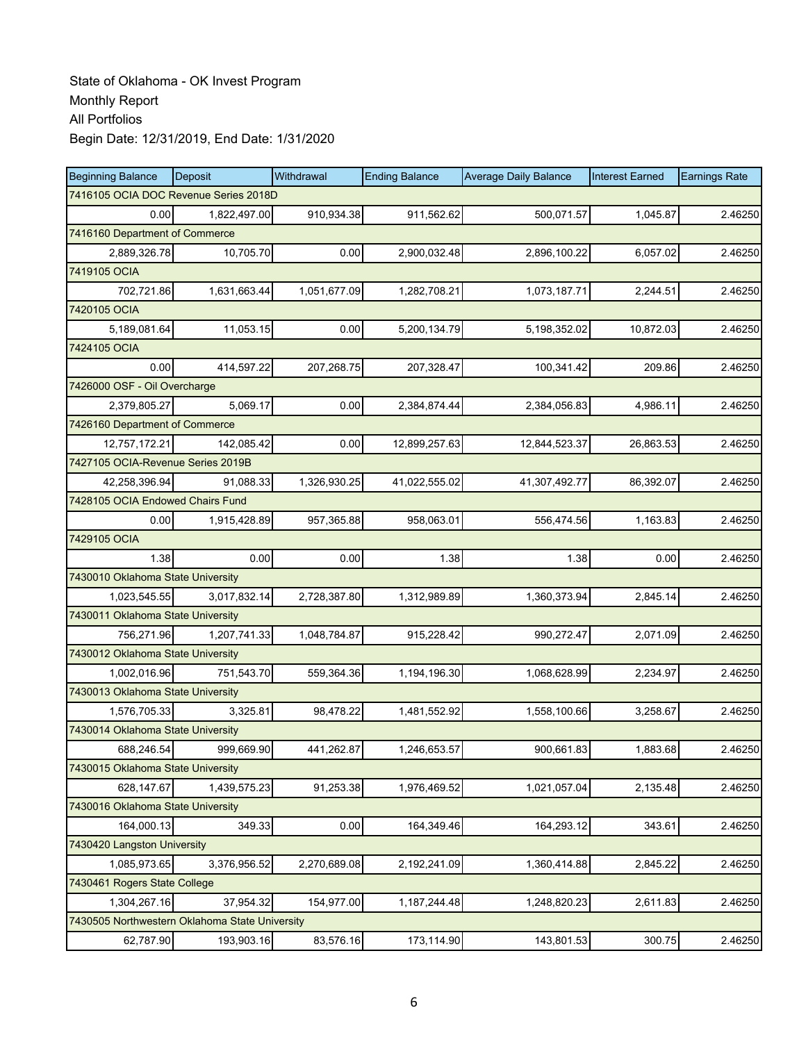| <b>Beginning Balance</b>                       | Deposit      | Withdrawal   | <b>Ending Balance</b> | <b>Average Daily Balance</b> | <b>Interest Earned</b> | <b>Earnings Rate</b> |  |  |
|------------------------------------------------|--------------|--------------|-----------------------|------------------------------|------------------------|----------------------|--|--|
| 7416105 OCIA DOC Revenue Series 2018D          |              |              |                       |                              |                        |                      |  |  |
| 0.00                                           | 1,822,497.00 | 910,934.38   | 911,562.62            | 500,071.57                   | 1,045.87               | 2.46250              |  |  |
| 7416160 Department of Commerce                 |              |              |                       |                              |                        |                      |  |  |
| 2,889,326.78                                   | 10,705.70    | 0.00         | 2,900,032.48          | 2,896,100.22                 | 6,057.02               | 2.46250              |  |  |
| 7419105 OCIA                                   |              |              |                       |                              |                        |                      |  |  |
| 702,721.86                                     | 1,631,663.44 | 1,051,677.09 | 1,282,708.21          | 1,073,187.71                 | 2,244.51               | 2.46250              |  |  |
| 7420105 OCIA                                   |              |              |                       |                              |                        |                      |  |  |
| 5,189,081.64                                   | 11,053.15    | 0.00         | 5,200,134.79          | 5,198,352.02                 | 10,872.03              | 2.46250              |  |  |
| 7424105 OCIA                                   |              |              |                       |                              |                        |                      |  |  |
| 0.00                                           | 414,597.22   | 207,268.75   | 207,328.47            | 100,341.42                   | 209.86                 | 2.46250              |  |  |
| 7426000 OSF - Oil Overcharge                   |              |              |                       |                              |                        |                      |  |  |
| 2,379,805.27                                   | 5,069.17     | 0.00         | 2,384,874.44          | 2,384,056.83                 | 4,986.11               | 2.46250              |  |  |
| 7426160 Department of Commerce                 |              |              |                       |                              |                        |                      |  |  |
| 12,757,172.21                                  | 142.085.42   | 0.00         | 12,899,257.63         | 12,844,523.37                | 26,863.53              | 2.46250              |  |  |
| 7427105 OCIA-Revenue Series 2019B              |              |              |                       |                              |                        |                      |  |  |
| 42,258,396.94                                  | 91,088.33    | 1,326,930.25 | 41,022,555.02         | 41,307,492.77                | 86,392.07              | 2.46250              |  |  |
| 7428105 OCIA Endowed Chairs Fund               |              |              |                       |                              |                        |                      |  |  |
| 0.00                                           | 1,915,428.89 | 957,365.88   | 958,063.01            | 556,474.56                   | 1,163.83               | 2.46250              |  |  |
| 7429105 OCIA                                   |              |              |                       |                              |                        |                      |  |  |
| 1.38                                           | 0.00         | 0.00         | 1.38                  | 1.38                         | 0.00                   | 2.46250              |  |  |
| 7430010 Oklahoma State University              |              |              |                       |                              |                        |                      |  |  |
| 1,023,545.55                                   | 3,017,832.14 | 2,728,387.80 | 1,312,989.89          | 1,360,373.94                 | 2,845.14               | 2.46250              |  |  |
| 7430011 Oklahoma State University              |              |              |                       |                              |                        |                      |  |  |
| 756,271.96                                     | 1,207,741.33 | 1,048,784.87 | 915,228.42            | 990,272.47                   | 2,071.09               | 2.46250              |  |  |
| 7430012 Oklahoma State University              |              |              |                       |                              |                        |                      |  |  |
| 1,002,016.96                                   | 751,543.70   | 559,364.36   | 1,194,196.30          | 1,068,628.99                 | 2,234.97               | 2.46250              |  |  |
| 7430013 Oklahoma State University              |              |              |                       |                              |                        |                      |  |  |
| 1,576,705.33                                   | 3,325.81     | 98,478.22    | 1,481,552.92          | 1,558,100.66                 | 3,258.67               | 2.46250              |  |  |
| 7430014 Oklahoma State University              |              |              |                       |                              |                        |                      |  |  |
| 688,246.54                                     | 999,669.90   | 441,262.87   | 1,246,653.57          | 900,661.83                   | 1,883.68               | 2.46250              |  |  |
| 7430015 Oklahoma State University              |              |              |                       |                              |                        |                      |  |  |
| 628,147.67                                     | 1,439,575.23 | 91,253.38    | 1,976,469.52          | 1,021,057.04                 | 2,135.48               | 2.46250              |  |  |
| 7430016 Oklahoma State University              |              |              |                       |                              |                        |                      |  |  |
| 164,000.13                                     | 349.33       | 0.00         | 164,349.46            | 164,293.12                   | 343.61                 | 2.46250              |  |  |
| 7430420 Langston University                    |              |              |                       |                              |                        |                      |  |  |
| 1,085,973.65                                   | 3,376,956.52 | 2,270,689.08 | 2,192,241.09          | 1,360,414.88                 | 2,845.22               | 2.46250              |  |  |
| 7430461 Rogers State College                   |              |              |                       |                              |                        |                      |  |  |
| 1,304,267.16                                   | 37,954.32    | 154,977.00   | 1,187,244.48          | 1,248,820.23                 | 2,611.83               | 2.46250              |  |  |
| 7430505 Northwestern Oklahoma State University |              |              |                       |                              |                        |                      |  |  |
| 62,787.90                                      | 193,903.16   | 83,576.16    | 173,114.90            | 143,801.53                   | 300.75                 | 2.46250              |  |  |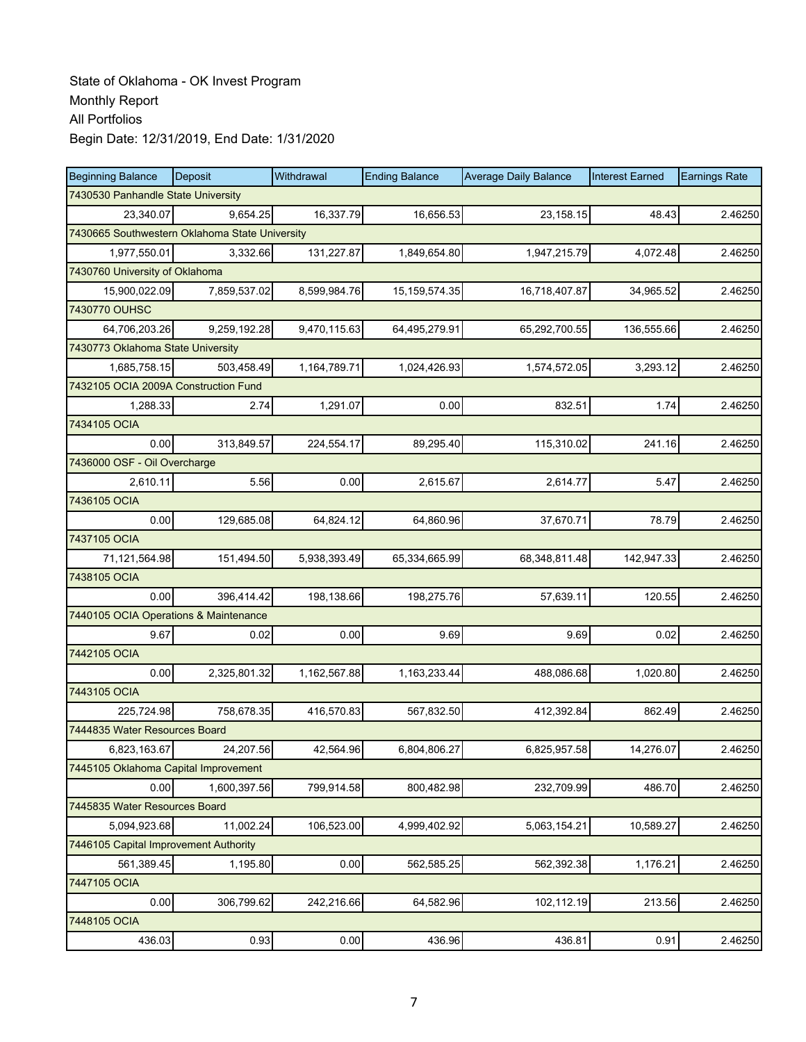| <b>Beginning Balance</b>                       | Deposit      | Withdrawal   | <b>Ending Balance</b> | <b>Average Daily Balance</b> | <b>Interest Earned</b> | <b>Earnings Rate</b> |  |  |
|------------------------------------------------|--------------|--------------|-----------------------|------------------------------|------------------------|----------------------|--|--|
| 7430530 Panhandle State University             |              |              |                       |                              |                        |                      |  |  |
| 23,340.07                                      | 9,654.25     | 16,337.79    | 16,656.53             | 23,158.15                    | 48.43                  | 2.46250              |  |  |
| 7430665 Southwestern Oklahoma State University |              |              |                       |                              |                        |                      |  |  |
| 1,977,550.01                                   | 3,332.66     | 131,227.87   | 1,849,654.80          | 1,947,215.79                 | 4,072.48               | 2.46250              |  |  |
| 7430760 University of Oklahoma                 |              |              |                       |                              |                        |                      |  |  |
| 15,900,022.09                                  | 7,859,537.02 | 8,599,984.76 | 15, 159, 574. 35      | 16,718,407.87                | 34,965.52              | 2.46250              |  |  |
| 7430770 OUHSC                                  |              |              |                       |                              |                        |                      |  |  |
| 64,706,203.26                                  | 9,259,192.28 | 9,470,115.63 | 64,495,279.91         | 65,292,700.55                | 136,555.66             | 2.46250              |  |  |
| 7430773 Oklahoma State University              |              |              |                       |                              |                        |                      |  |  |
| 1,685,758.15                                   | 503,458.49   | 1,164,789.71 | 1,024,426.93          | 1,574,572.05                 | 3,293.12               | 2.46250              |  |  |
| 7432105 OCIA 2009A Construction Fund           |              |              |                       |                              |                        |                      |  |  |
| 1,288.33                                       | 2.74         | 1,291.07     | 0.00                  | 832.51                       | 1.74                   | 2.46250              |  |  |
| 7434105 OCIA                                   |              |              |                       |                              |                        |                      |  |  |
| 0.00                                           | 313,849.57   | 224,554.17   | 89,295.40             | 115,310.02                   | 241.16                 | 2.46250              |  |  |
| 7436000 OSF - Oil Overcharge                   |              |              |                       |                              |                        |                      |  |  |
| 2,610.11                                       | 5.56         | 0.00         | 2,615.67              | 2,614.77                     | 5.47                   | 2.46250              |  |  |
| 7436105 OCIA                                   |              |              |                       |                              |                        |                      |  |  |
| 0.00                                           | 129,685.08   | 64,824.12    | 64,860.96             | 37,670.71                    | 78.79                  | 2.46250              |  |  |
| 7437105 OCIA                                   |              |              |                       |                              |                        |                      |  |  |
| 71,121,564.98                                  | 151,494.50   | 5,938,393.49 | 65,334,665.99         | 68,348,811.48                | 142,947.33             | 2.46250              |  |  |
| 7438105 OCIA                                   |              |              |                       |                              |                        |                      |  |  |
| 0.00                                           | 396,414.42   | 198,138.66   | 198,275.76            | 57,639.11                    | 120.55                 | 2.46250              |  |  |
| 7440105 OCIA Operations & Maintenance          |              |              |                       |                              |                        |                      |  |  |
| 9.67                                           | 0.02         | 0.00         | 9.69                  | 9.69                         | 0.02                   | 2.46250              |  |  |
| 7442105 OCIA                                   |              |              |                       |                              |                        |                      |  |  |
| 0.00                                           | 2,325,801.32 | 1,162,567.88 | 1,163,233.44          | 488,086.68                   | 1,020.80               | 2.46250              |  |  |
| 7443105 OCIA                                   |              |              |                       |                              |                        |                      |  |  |
| 225,724.98                                     | 758,678.35   | 416,570.83   | 567,832.50            | 412,392.84                   | 862.49                 | 2.46250              |  |  |
| 7444835 Water Resources Board                  |              |              |                       |                              |                        |                      |  |  |
| 6,823,163.67                                   | 24,207.56    | 42,564.96    | 6.804.806.27          | 6,825,957.58                 | 14,276.07              | 2.46250              |  |  |
| 7445105 Oklahoma Capital Improvement           |              |              |                       |                              |                        |                      |  |  |
| 0.00                                           | 1,600,397.56 | 799,914.58   | 800,482.98            | 232,709.99                   | 486.70                 | 2.46250              |  |  |
| 7445835 Water Resources Board                  |              |              |                       |                              |                        |                      |  |  |
| 5,094,923.68                                   | 11,002.24    | 106,523.00   | 4,999,402.92          | 5,063,154.21                 | 10,589.27              | 2.46250              |  |  |
| 7446105 Capital Improvement Authority          |              |              |                       |                              |                        |                      |  |  |
| 561,389.45                                     | 1,195.80     | 0.00         | 562,585.25            | 562,392.38                   | 1,176.21               | 2.46250              |  |  |
| 7447105 OCIA                                   |              |              |                       |                              |                        |                      |  |  |
| 0.00                                           | 306,799.62   | 242,216.66   | 64,582.96             | 102,112.19                   | 213.56                 | 2.46250              |  |  |
| 7448105 OCIA                                   |              |              |                       |                              |                        |                      |  |  |
| 436.03                                         | 0.93         | 0.00         | 436.96                | 436.81                       | 0.91                   | 2.46250              |  |  |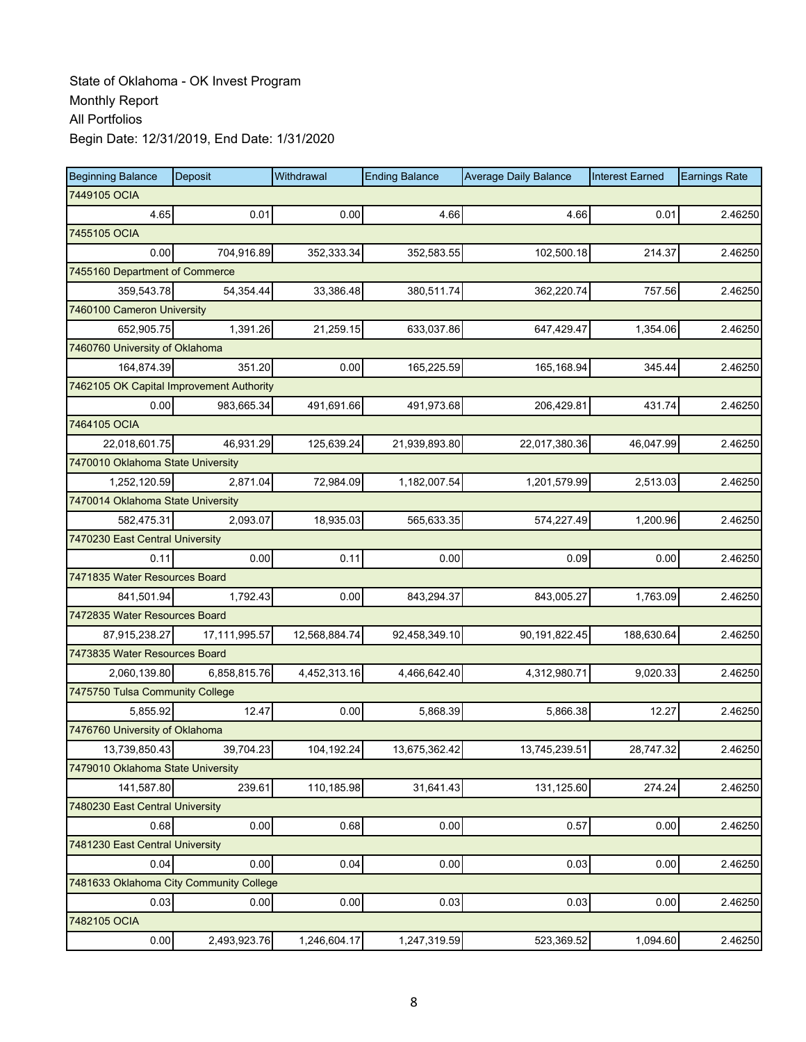| <b>Beginning Balance</b>                 | Deposit       | Withdrawal    | <b>Ending Balance</b> | <b>Average Daily Balance</b> | <b>Interest Earned</b> | <b>Earnings Rate</b> |
|------------------------------------------|---------------|---------------|-----------------------|------------------------------|------------------------|----------------------|
| 7449105 OCIA                             |               |               |                       |                              |                        |                      |
| 4.65                                     | 0.01          | 0.00          | 4.66                  | 4.66                         | 0.01                   | 2.46250              |
| 7455105 OCIA                             |               |               |                       |                              |                        |                      |
| 0.00                                     | 704,916.89    | 352,333.34    | 352,583.55            | 102,500.18                   | 214.37                 | 2.46250              |
| 7455160 Department of Commerce           |               |               |                       |                              |                        |                      |
| 359,543.78                               | 54,354.44     | 33,386.48     | 380,511.74            | 362,220.74                   | 757.56                 | 2.46250              |
| 7460100 Cameron University               |               |               |                       |                              |                        |                      |
| 652,905.75                               | 1,391.26      | 21,259.15     | 633,037.86            | 647,429.47                   | 1,354.06               | 2.46250              |
| 7460760 University of Oklahoma           |               |               |                       |                              |                        |                      |
| 164,874.39                               | 351.20        | 0.00          | 165,225.59            | 165,168.94                   | 345.44                 | 2.46250              |
| 7462105 OK Capital Improvement Authority |               |               |                       |                              |                        |                      |
| 0.00                                     | 983,665.34    | 491,691.66    | 491,973.68            | 206,429.81                   | 431.74                 | 2.46250              |
| 7464105 OCIA                             |               |               |                       |                              |                        |                      |
| 22,018,601.75                            | 46,931.29     | 125,639.24    | 21,939,893.80         | 22,017,380.36                | 46,047.99              | 2.46250              |
| 7470010 Oklahoma State University        |               |               |                       |                              |                        |                      |
| 1,252,120.59                             | 2,871.04      | 72,984.09     | 1,182,007.54          | 1,201,579.99                 | 2,513.03               | 2.46250              |
| 7470014 Oklahoma State University        |               |               |                       |                              |                        |                      |
| 582,475.31                               | 2,093.07      | 18,935.03     | 565,633.35            | 574,227.49                   | 1,200.96               | 2.46250              |
| 7470230 East Central University          |               |               |                       |                              |                        |                      |
| 0.11                                     | 0.00          | 0.11          | 0.00                  | 0.09                         | 0.00                   | 2.46250              |
| 7471835 Water Resources Board            |               |               |                       |                              |                        |                      |
| 841,501.94                               | 1,792.43      | 0.00          | 843,294.37            | 843,005.27                   | 1,763.09               | 2.46250              |
| 7472835 Water Resources Board            |               |               |                       |                              |                        |                      |
| 87,915,238.27                            | 17,111,995.57 | 12,568,884.74 | 92,458,349.10         | 90,191,822.45                | 188,630.64             | 2.46250              |
| 7473835 Water Resources Board            |               |               |                       |                              |                        |                      |
| 2,060,139.80                             | 6,858,815.76  | 4,452,313.16  | 4,466,642.40          | 4,312,980.71                 | 9,020.33               | 2.46250              |
| 7475750 Tulsa Community College          |               |               |                       |                              |                        |                      |
| 5,855.92                                 | 12.47         | 0.00          | 5,868.39              | 5,866.38                     | 12.27                  | 2.46250              |
| 7476760 University of Oklahoma           |               |               |                       |                              |                        |                      |
| 13,739,850.43                            | 39,704.23     | 104,192.24    | 13,675,362.42         | 13,745,239.51                | 28,747.32              | 2.46250              |
| 7479010 Oklahoma State University        |               |               |                       |                              |                        |                      |
| 141,587.80                               | 239.61        | 110,185.98    | 31,641.43             | 131,125.60                   | 274.24                 | 2.46250              |
| 7480230 East Central University          |               |               |                       |                              |                        |                      |
| 0.68                                     | 0.00          | 0.68          | 0.00                  | 0.57                         | 0.00                   | 2.46250              |
| 7481230 East Central University          |               |               |                       |                              |                        |                      |
| 0.04                                     | 0.00          | 0.04          | 0.00                  | 0.03                         | 0.00                   | 2.46250              |
| 7481633 Oklahoma City Community College  |               |               |                       |                              |                        |                      |
| 0.03                                     | 0.00          | 0.00          | 0.03                  | 0.03                         | 0.00                   | 2.46250              |
| 7482105 OCIA                             |               |               |                       |                              |                        |                      |
| 0.00                                     | 2,493,923.76  | 1,246,604.17  | 1,247,319.59          | 523,369.52                   | 1,094.60               | 2.46250              |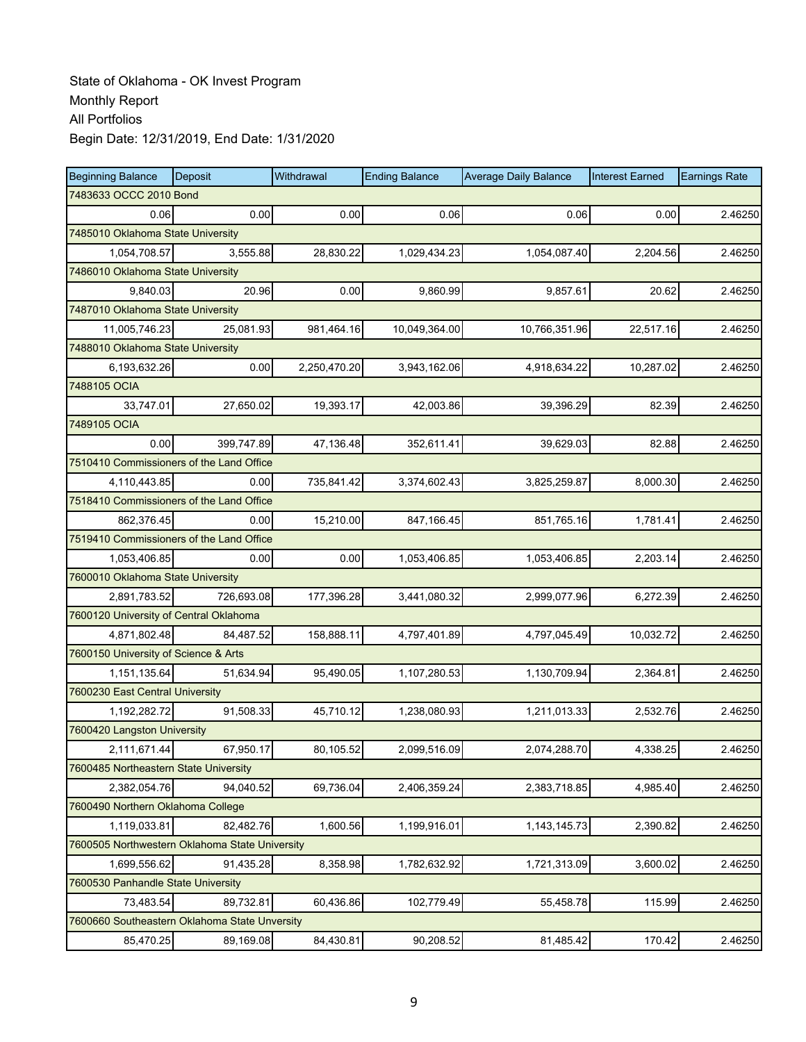| <b>Beginning Balance</b>                       | Deposit    | Withdrawal   | <b>Ending Balance</b> | <b>Average Daily Balance</b> | <b>Interest Earned</b> | <b>Earnings Rate</b> |
|------------------------------------------------|------------|--------------|-----------------------|------------------------------|------------------------|----------------------|
| 7483633 OCCC 2010 Bond                         |            |              |                       |                              |                        |                      |
| 0.06                                           | 0.00       | 0.00         | 0.06                  | 0.06                         | 0.00                   | 2.46250              |
| 7485010 Oklahoma State University              |            |              |                       |                              |                        |                      |
| 1,054,708.57                                   | 3,555.88   | 28,830.22    | 1,029,434.23          | 1,054,087.40                 | 2,204.56               | 2.46250              |
| 7486010 Oklahoma State University              |            |              |                       |                              |                        |                      |
| 9,840.03                                       | 20.96      | 0.00         | 9,860.99              | 9,857.61                     | 20.62                  | 2.46250              |
| 7487010 Oklahoma State University              |            |              |                       |                              |                        |                      |
| 11,005,746.23                                  | 25,081.93  | 981,464.16   | 10,049,364.00         | 10,766,351.96                | 22,517.16              | 2.46250              |
| 7488010 Oklahoma State University              |            |              |                       |                              |                        |                      |
| 6,193,632.26                                   | 0.00       | 2,250,470.20 | 3,943,162.06          | 4,918,634.22                 | 10,287.02              | 2.46250              |
| 7488105 OCIA                                   |            |              |                       |                              |                        |                      |
| 33,747.01                                      | 27,650.02  | 19,393.17    | 42,003.86             | 39,396.29                    | 82.39                  | 2.46250              |
| 7489105 OCIA                                   |            |              |                       |                              |                        |                      |
| 0.00                                           | 399.747.89 | 47,136.48    | 352,611.41            | 39,629.03                    | 82.88                  | 2.46250              |
| 7510410 Commissioners of the Land Office       |            |              |                       |                              |                        |                      |
| 4,110,443.85                                   | 0.00       | 735,841.42   | 3,374,602.43          | 3,825,259.87                 | 8,000.30               | 2.46250              |
| 7518410 Commissioners of the Land Office       |            |              |                       |                              |                        |                      |
| 862,376.45                                     | 0.00       | 15,210.00    | 847,166.45            | 851,765.16                   | 1,781.41               | 2.46250              |
| 7519410 Commissioners of the Land Office       |            |              |                       |                              |                        |                      |
| 1,053,406.85                                   | 0.00       | 0.00         | 1,053,406.85          | 1,053,406.85                 | 2,203.14               | 2.46250              |
| 7600010 Oklahoma State University              |            |              |                       |                              |                        |                      |
| 2,891,783.52                                   | 726,693.08 | 177,396.28   | 3,441,080.32          | 2,999,077.96                 | 6,272.39               | 2.46250              |
| 7600120 University of Central Oklahoma         |            |              |                       |                              |                        |                      |
| 4,871,802.48                                   | 84,487.52  | 158,888.11   | 4,797,401.89          | 4,797,045.49                 | 10,032.72              | 2.46250              |
| 7600150 University of Science & Arts           |            |              |                       |                              |                        |                      |
| 1,151,135.64                                   | 51,634.94  | 95,490.05    | 1,107,280.53          | 1,130,709.94                 | 2,364.81               | 2.46250              |
| 7600230 East Central University                |            |              |                       |                              |                        |                      |
| 1,192,282.72                                   | 91,508.33  | 45,710.12    | 1,238,080.93          | 1,211,013.33                 | 2,532.76               | 2.46250              |
| 7600420 Langston University                    |            |              |                       |                              |                        |                      |
| 2,111,671.44                                   | 67,950.17  | 80,105.52    | 2.099.516.09          | 2,074,288.70                 | 4,338.25               | 2.46250              |
| 7600485 Northeastern State University          |            |              |                       |                              |                        |                      |
| 2,382,054.76                                   | 94,040.52  | 69,736.04    | 2,406,359.24          | 2,383,718.85                 | 4,985.40               | 2.46250              |
| 7600490 Northern Oklahoma College              |            |              |                       |                              |                        |                      |
| 1,119,033.81                                   | 82,482.76  | 1,600.56     | 1,199,916.01          | 1,143,145.73                 | 2,390.82               | 2.46250              |
| 7600505 Northwestern Oklahoma State University |            |              |                       |                              |                        |                      |
| 1,699,556.62                                   | 91,435.28  | 8,358.98     | 1,782,632.92          | 1,721,313.09                 | 3,600.02               | 2.46250              |
| 7600530 Panhandle State University             |            |              |                       |                              |                        |                      |
| 73,483.54                                      | 89,732.81  | 60,436.86    | 102,779.49            | 55,458.78                    | 115.99                 | 2.46250              |
| 7600660 Southeastern Oklahoma State Unversity  |            |              |                       |                              |                        |                      |
| 85,470.25                                      | 89,169.08  | 84,430.81    | 90,208.52             | 81,485.42                    | 170.42                 | 2.46250              |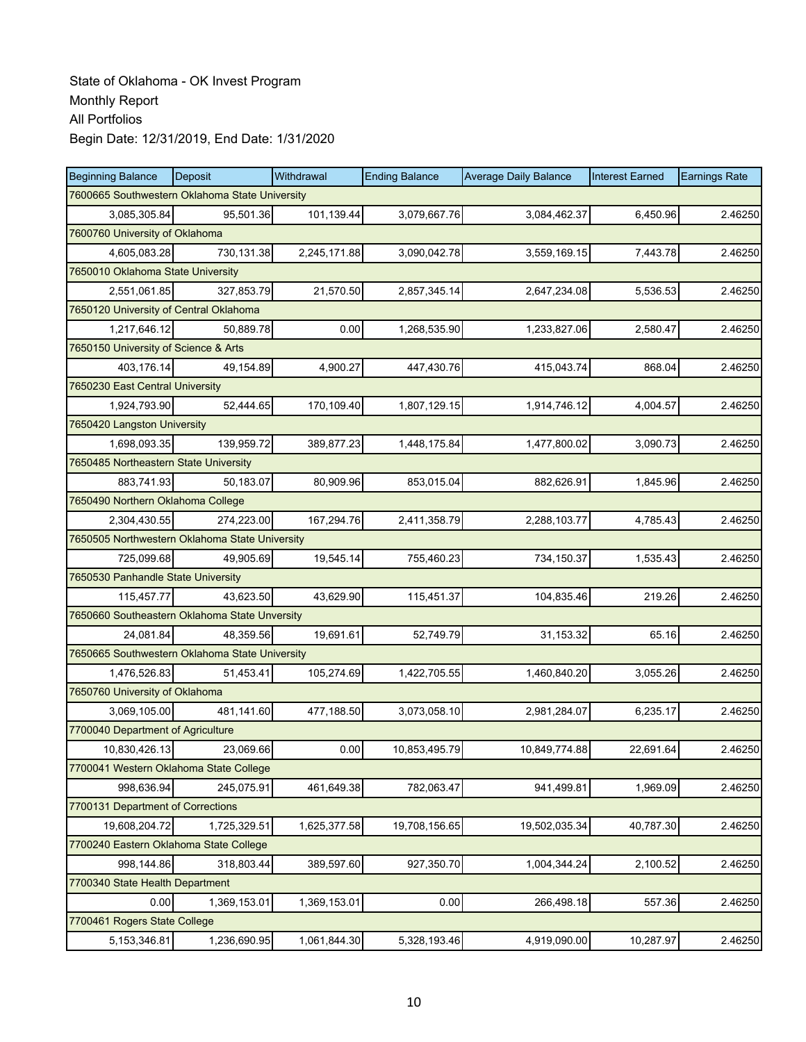| <b>Beginning Balance</b>                       | Deposit                                        | Withdrawal   | <b>Ending Balance</b> | <b>Average Daily Balance</b> | <b>Interest Earned</b> | <b>Earnings Rate</b> |  |  |  |
|------------------------------------------------|------------------------------------------------|--------------|-----------------------|------------------------------|------------------------|----------------------|--|--|--|
|                                                | 7600665 Southwestern Oklahoma State University |              |                       |                              |                        |                      |  |  |  |
| 3,085,305.84                                   | 95,501.36                                      | 101,139.44   | 3,079,667.76          | 3,084,462.37                 | 6,450.96               | 2.46250              |  |  |  |
| 7600760 University of Oklahoma                 |                                                |              |                       |                              |                        |                      |  |  |  |
| 4,605,083.28                                   | 730,131.38                                     | 2,245,171.88 | 3,090,042.78          | 3,559,169.15                 | 7,443.78               | 2.46250              |  |  |  |
| 7650010 Oklahoma State University              |                                                |              |                       |                              |                        |                      |  |  |  |
| 2,551,061.85                                   | 327,853.79                                     | 21,570.50    | 2,857,345.14          | 2,647,234.08                 | 5,536.53               | 2.46250              |  |  |  |
| 7650120 University of Central Oklahoma         |                                                |              |                       |                              |                        |                      |  |  |  |
| 1,217,646.12                                   | 50,889.78                                      | 0.00         | 1,268,535.90          | 1,233,827.06                 | 2,580.47               | 2.46250              |  |  |  |
| 7650150 University of Science & Arts           |                                                |              |                       |                              |                        |                      |  |  |  |
| 403,176.14                                     | 49,154.89                                      | 4,900.27     | 447,430.76            | 415,043.74                   | 868.04                 | 2.46250              |  |  |  |
| 7650230 East Central University                |                                                |              |                       |                              |                        |                      |  |  |  |
| 1,924,793.90                                   | 52,444.65                                      | 170,109.40   | 1,807,129.15          | 1,914,746.12                 | 4,004.57               | 2.46250              |  |  |  |
| 7650420 Langston University                    |                                                |              |                       |                              |                        |                      |  |  |  |
| 1,698,093.35                                   | 139.959.72                                     | 389,877.23   | 1,448,175.84          | 1,477,800.02                 | 3,090.73               | 2.46250              |  |  |  |
| 7650485 Northeastern State University          |                                                |              |                       |                              |                        |                      |  |  |  |
| 883,741.93                                     | 50,183.07                                      | 80,909.96    | 853,015.04            | 882,626.91                   | 1,845.96               | 2.46250              |  |  |  |
| 7650490 Northern Oklahoma College              |                                                |              |                       |                              |                        |                      |  |  |  |
| 2,304,430.55                                   | 274,223.00                                     | 167,294.76   | 2,411,358.79          | 2,288,103.77                 | 4,785.43               | 2.46250              |  |  |  |
| 7650505 Northwestern Oklahoma State University |                                                |              |                       |                              |                        |                      |  |  |  |
| 725,099.68                                     | 49,905.69                                      | 19,545.14    | 755,460.23            | 734,150.37                   | 1,535.43               | 2.46250              |  |  |  |
| 7650530 Panhandle State University             |                                                |              |                       |                              |                        |                      |  |  |  |
| 115,457.77                                     | 43,623.50                                      | 43,629.90    | 115,451.37            | 104,835.46                   | 219.26                 | 2.46250              |  |  |  |
| 7650660 Southeastern Oklahoma State Unversity  |                                                |              |                       |                              |                        |                      |  |  |  |
| 24,081.84                                      | 48,359.56                                      | 19,691.61    | 52,749.79             | 31,153.32                    | 65.16                  | 2.46250              |  |  |  |
| 7650665 Southwestern Oklahoma State University |                                                |              |                       |                              |                        |                      |  |  |  |
| 1,476,526.83                                   | 51,453.41                                      | 105,274.69   | 1,422,705.55          | 1,460,840.20                 | 3,055.26               | 2.46250              |  |  |  |
| 7650760 University of Oklahoma                 |                                                |              |                       |                              |                        |                      |  |  |  |
| 3,069,105.00                                   | 481,141.60                                     | 477,188.50   | 3,073,058.10          | 2,981,284.07                 | 6,235.17               | 2.46250              |  |  |  |
| 7700040 Department of Agriculture              |                                                |              |                       |                              |                        |                      |  |  |  |
| 10,830,426.13                                  | 23,069.66                                      | 0.00         | 10,853,495.79         | 10,849,774.88                | 22,691.64              | 2.46250              |  |  |  |
| 7700041 Western Oklahoma State College         |                                                |              |                       |                              |                        |                      |  |  |  |
| 998,636.94                                     | 245,075.91                                     | 461,649.38   | 782,063.47            | 941,499.81                   | 1,969.09               | 2.46250              |  |  |  |
| 7700131 Department of Corrections              |                                                |              |                       |                              |                        |                      |  |  |  |
| 19,608,204.72                                  | 1,725,329.51                                   | 1,625,377.58 | 19,708,156.65         | 19,502,035.34                | 40,787.30              | 2.46250              |  |  |  |
| 7700240 Eastern Oklahoma State College         |                                                |              |                       |                              |                        |                      |  |  |  |
| 998,144.86                                     | 318,803.44                                     | 389,597.60   | 927,350.70            | 1,004,344.24                 | 2,100.52               | 2.46250              |  |  |  |
| 7700340 State Health Department                |                                                |              |                       |                              |                        |                      |  |  |  |
| 0.00                                           | 1,369,153.01                                   | 1,369,153.01 | 0.00                  | 266,498.18                   | 557.36                 | 2.46250              |  |  |  |
| 7700461 Rogers State College                   |                                                |              |                       |                              |                        |                      |  |  |  |
| 5, 153, 346.81                                 | 1,236,690.95                                   | 1,061,844.30 | 5,328,193.46          | 4,919,090.00                 | 10,287.97              | 2.46250              |  |  |  |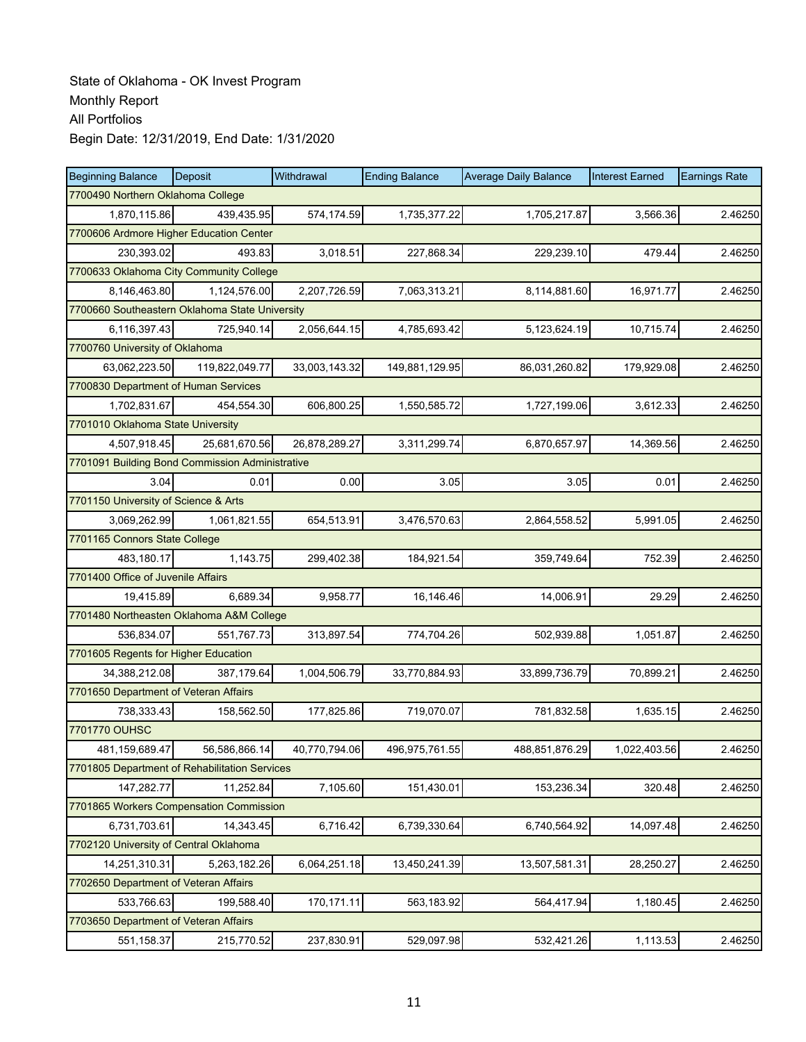| <b>Beginning Balance</b>                        | Deposit        | Withdrawal    | <b>Ending Balance</b> | <b>Average Daily Balance</b> | <b>Interest Earned</b> | <b>Earnings Rate</b> |
|-------------------------------------------------|----------------|---------------|-----------------------|------------------------------|------------------------|----------------------|
| 7700490 Northern Oklahoma College               |                |               |                       |                              |                        |                      |
| 1,870,115.86                                    | 439,435.95     | 574,174.59    | 1,735,377.22          | 1,705,217.87                 | 3.566.36               | 2.46250              |
| 7700606 Ardmore Higher Education Center         |                |               |                       |                              |                        |                      |
| 230,393.02                                      | 493.83         | 3,018.51      | 227,868.34            | 229,239.10                   | 479.44                 | 2.46250              |
| 7700633 Oklahoma City Community College         |                |               |                       |                              |                        |                      |
| 8,146,463.80                                    | 1,124,576.00   | 2,207,726.59  | 7,063,313.21          | 8,114,881.60                 | 16,971.77              | 2.46250              |
| 7700660 Southeastern Oklahoma State University  |                |               |                       |                              |                        |                      |
| 6,116,397.43                                    | 725,940.14     | 2,056,644.15  | 4,785,693.42          | 5,123,624.19                 | 10,715.74              | 2.46250              |
| 7700760 University of Oklahoma                  |                |               |                       |                              |                        |                      |
| 63,062,223.50                                   | 119,822,049.77 | 33,003,143.32 | 149,881,129.95        | 86,031,260.82                | 179,929.08             | 2.46250              |
| 7700830 Department of Human Services            |                |               |                       |                              |                        |                      |
| 1,702,831.67                                    | 454,554.30     | 606,800.25    | 1,550,585.72          | 1,727,199.06                 | 3,612.33               | 2.46250              |
| 7701010 Oklahoma State University               |                |               |                       |                              |                        |                      |
| 4,507,918.45                                    | 25,681,670.56  | 26,878,289.27 | 3,311,299.74          | 6,870,657.97                 | 14,369.56              | 2.46250              |
| 7701091 Building Bond Commission Administrative |                |               |                       |                              |                        |                      |
| 3.04                                            | 0.01           | 0.00          | 3.05                  | 3.05                         | 0.01                   | 2.46250              |
| 7701150 University of Science & Arts            |                |               |                       |                              |                        |                      |
| 3,069,262.99                                    | 1,061,821.55   | 654,513.91    | 3,476,570.63          | 2,864,558.52                 | 5,991.05               | 2.46250              |
| 7701165 Connors State College                   |                |               |                       |                              |                        |                      |
| 483,180.17                                      | 1,143.75       | 299,402.38    | 184,921.54            | 359,749.64                   | 752.39                 | 2.46250              |
| 7701400 Office of Juvenile Affairs              |                |               |                       |                              |                        |                      |
| 19,415.89                                       | 6,689.34       | 9,958.77      | 16,146.46             | 14,006.91                    | 29.29                  | 2.46250              |
| 7701480 Northeasten Oklahoma A&M College        |                |               |                       |                              |                        |                      |
| 536,834.07                                      | 551,767.73     | 313,897.54    | 774,704.26            | 502,939.88                   | 1,051.87               | 2.46250              |
| 7701605 Regents for Higher Education            |                |               |                       |                              |                        |                      |
| 34,388,212.08                                   | 387,179.64     | 1,004,506.79  | 33,770,884.93         | 33,899,736.79                | 70,899.21              | 2.46250              |
| 7701650 Department of Veteran Affairs           |                |               |                       |                              |                        |                      |
| 738,333.43                                      | 158,562.50     | 177,825.86    | 719,070.07            | 781,832.58                   | 1,635.15               | 2.46250              |
| 7701770 OUHSC                                   |                |               |                       |                              |                        |                      |
| 481,159,689.47                                  | 56,586,866.14  | 40,770,794.06 | 496.975.761.55        | 488,851,876.29               | 1,022,403.56           | 2.46250              |
| 7701805 Department of Rehabilitation Services   |                |               |                       |                              |                        |                      |
| 147,282.77                                      | 11,252.84      | 7,105.60      | 151,430.01            | 153,236.34                   | 320.48                 | 2.46250              |
| 7701865 Workers Compensation Commission         |                |               |                       |                              |                        |                      |
| 6,731,703.61                                    | 14,343.45      | 6,716.42      | 6,739,330.64          | 6,740,564.92                 | 14,097.48              | 2.46250              |
| 7702120 University of Central Oklahoma          |                |               |                       |                              |                        |                      |
| 14,251,310.31                                   | 5,263,182.26   | 6,064,251.18  | 13,450,241.39         | 13,507,581.31                | 28,250.27              | 2.46250              |
| 7702650 Department of Veteran Affairs           |                |               |                       |                              |                        |                      |
| 533,766.63                                      | 199,588.40     | 170,171.11    | 563,183.92            | 564,417.94                   | 1,180.45               | 2.46250              |
| 7703650 Department of Veteran Affairs           |                |               |                       |                              |                        |                      |
| 551,158.37                                      | 215,770.52     | 237,830.91    | 529,097.98            | 532,421.26                   | 1,113.53               | 2.46250              |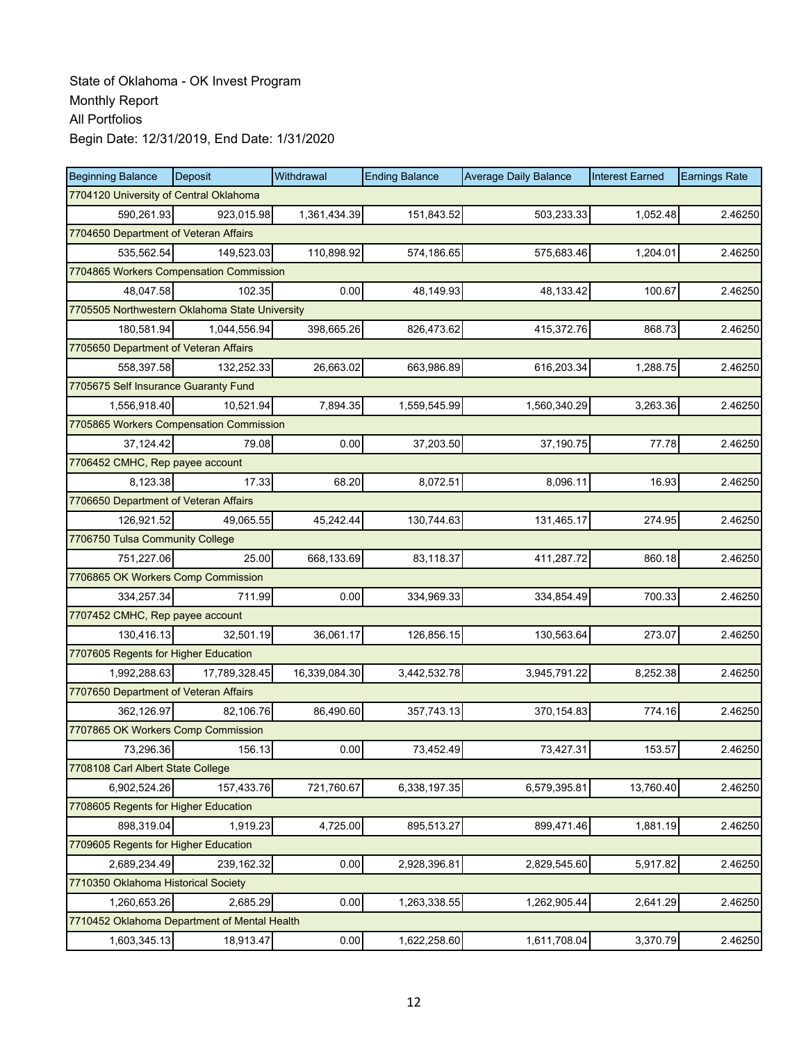| <b>Beginning Balance</b>                       | Deposit       | Withdrawal    | <b>Ending Balance</b> | <b>Average Daily Balance</b> | <b>Interest Earned</b> | <b>Earnings Rate</b> |
|------------------------------------------------|---------------|---------------|-----------------------|------------------------------|------------------------|----------------------|
| 7704120 University of Central Oklahoma         |               |               |                       |                              |                        |                      |
| 590,261.93                                     | 923.015.98    | 1,361,434.39  | 151,843.52            | 503,233.33                   | 1,052.48               | 2.46250              |
| 7704650 Department of Veteran Affairs          |               |               |                       |                              |                        |                      |
| 535,562.54                                     | 149,523.03    | 110,898.92    | 574,186.65            | 575,683.46                   | 1,204.01               | 2.46250              |
| 7704865 Workers Compensation Commission        |               |               |                       |                              |                        |                      |
| 48,047.58                                      | 102.35        | 0.00          | 48,149.93             | 48,133.42                    | 100.67                 | 2.46250              |
| 7705505 Northwestern Oklahoma State University |               |               |                       |                              |                        |                      |
| 180,581.94                                     | 1.044.556.94  | 398,665.26    | 826,473.62            | 415,372.76                   | 868.73                 | 2.46250              |
| 7705650 Department of Veteran Affairs          |               |               |                       |                              |                        |                      |
| 558,397.58                                     | 132,252.33    | 26,663.02     | 663,986.89            | 616,203.34                   | 1,288.75               | 2.46250              |
| 7705675 Self Insurance Guaranty Fund           |               |               |                       |                              |                        |                      |
| 1,556,918.40                                   | 10,521.94     | 7,894.35      | 1,559,545.99          | 1,560,340.29                 | 3,263.36               | 2.46250              |
| 7705865 Workers Compensation Commission        |               |               |                       |                              |                        |                      |
| 37,124.42                                      | 79.08         | 0.00          | 37,203.50             | 37,190.75                    | 77.78                  | 2.46250              |
| 7706452 CMHC, Rep payee account                |               |               |                       |                              |                        |                      |
| 8,123.38                                       | 17.33         | 68.20         | 8,072.51              | 8,096.11                     | 16.93                  | 2.46250              |
| 7706650 Department of Veteran Affairs          |               |               |                       |                              |                        |                      |
| 126,921.52                                     | 49,065.55     | 45,242.44     | 130,744.63            | 131,465.17                   | 274.95                 | 2.46250              |
| 7706750 Tulsa Community College                |               |               |                       |                              |                        |                      |
| 751,227.06                                     | 25.00         | 668,133.69    | 83,118.37             | 411,287.72                   | 860.18                 | 2.46250              |
| 7706865 OK Workers Comp Commission             |               |               |                       |                              |                        |                      |
| 334,257.34                                     | 711.99        | 0.00          | 334,969.33            | 334,854.49                   | 700.33                 | 2.46250              |
| 7707452 CMHC, Rep payee account                |               |               |                       |                              |                        |                      |
| 130,416.13                                     | 32,501.19     | 36,061.17     | 126,856.15            | 130,563.64                   | 273.07                 | 2.46250              |
| 7707605 Regents for Higher Education           |               |               |                       |                              |                        |                      |
| 1,992,288.63                                   | 17,789,328.45 | 16,339,084.30 | 3,442,532.78          | 3,945,791.22                 | 8,252.38               | 2.46250              |
| 7707650 Department of Veteran Affairs          |               |               |                       |                              |                        |                      |
| 362,126.97                                     | 82,106.76     | 86,490.60     | 357,743.13            | 370,154.83                   | 774.16                 | 2.46250              |
| 7707865 OK Workers Comp Commission             |               |               |                       |                              |                        |                      |
| 73,296.36                                      | 156.13        | 0.00          | 73,452.49             | 73,427.31                    | 153.57                 | 2.46250              |
| 7708108 Carl Albert State College              |               |               |                       |                              |                        |                      |
| 6,902,524.26                                   | 157,433.76    | 721,760.67    | 6,338,197.35          | 6,579,395.81                 | 13,760.40              | 2.46250              |
| 7708605 Regents for Higher Education           |               |               |                       |                              |                        |                      |
| 898,319.04                                     | 1,919.23      | 4,725.00      | 895,513.27            | 899,471.46                   | 1,881.19               | 2.46250              |
| 7709605 Regents for Higher Education           |               |               |                       |                              |                        |                      |
| 2,689,234.49                                   | 239,162.32    | 0.00          | 2,928,396.81          | 2,829,545.60                 | 5,917.82               | 2.46250              |
| 7710350 Oklahoma Historical Society            |               |               |                       |                              |                        |                      |
| 1,260,653.26                                   | 2,685.29      | 0.00          | 1,263,338.55          | 1,262,905.44                 | 2,641.29               | 2.46250              |
| 7710452 Oklahoma Department of Mental Health   |               |               |                       |                              |                        |                      |
| 1,603,345.13                                   | 18,913.47     | 0.00          | 1,622,258.60          | 1,611,708.04                 | 3,370.79               | 2.46250              |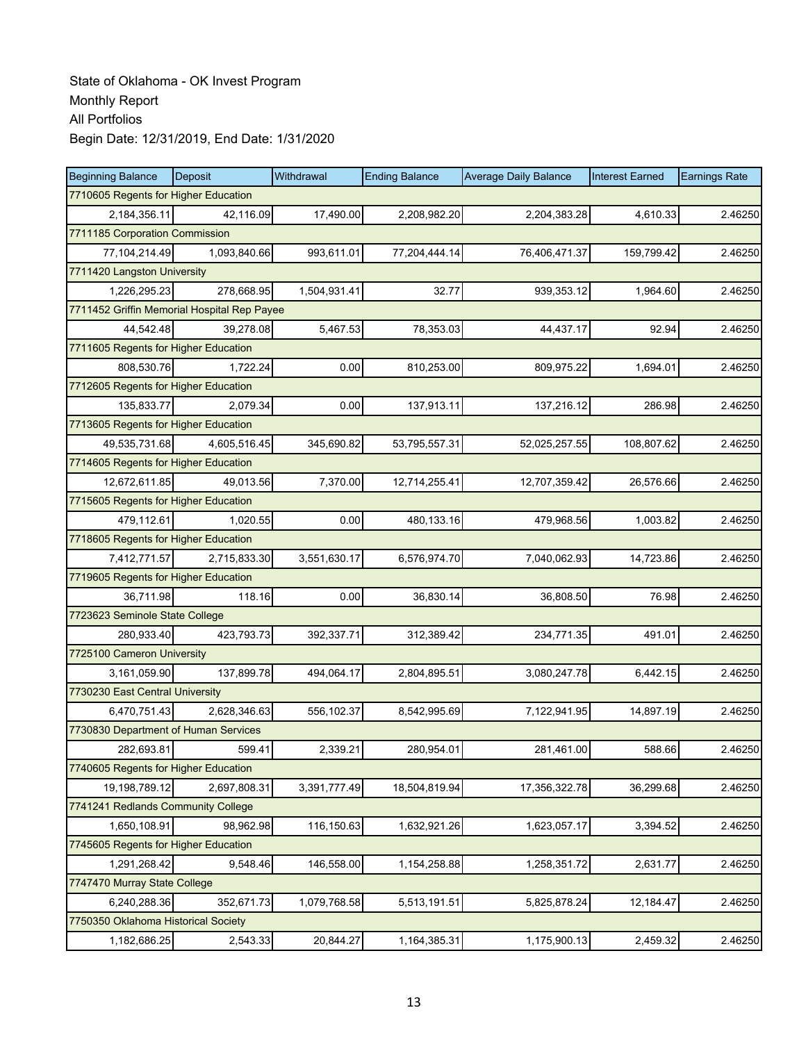| <b>Beginning Balance</b>                    | <b>Deposit</b> | Withdrawal   | <b>Ending Balance</b> | <b>Average Daily Balance</b> | <b>Interest Earned</b> | <b>Earnings Rate</b> |  |  |
|---------------------------------------------|----------------|--------------|-----------------------|------------------------------|------------------------|----------------------|--|--|
| 7710605 Regents for Higher Education        |                |              |                       |                              |                        |                      |  |  |
| 2,184,356.11                                | 42,116.09      | 17,490.00    | 2,208,982.20          | 2,204,383.28                 | 4,610.33               | 2.46250              |  |  |
| 7711185 Corporation Commission              |                |              |                       |                              |                        |                      |  |  |
| 77,104,214.49                               | 1,093,840.66   | 993,611.01   | 77,204,444.14         | 76,406,471.37                | 159,799.42             | 2.46250              |  |  |
| 7711420 Langston University                 |                |              |                       |                              |                        |                      |  |  |
| 1,226,295.23                                | 278,668.95     | 1,504,931.41 | 32.77                 | 939,353.12                   | 1,964.60               | 2.46250              |  |  |
| 7711452 Griffin Memorial Hospital Rep Payee |                |              |                       |                              |                        |                      |  |  |
| 44,542.48                                   | 39,278.08      | 5,467.53     | 78,353.03             | 44,437.17                    | 92.94                  | 2.46250              |  |  |
| 7711605 Regents for Higher Education        |                |              |                       |                              |                        |                      |  |  |
| 808,530.76                                  | 1,722.24       | 0.00         | 810,253.00            | 809,975.22                   | 1,694.01               | 2.46250              |  |  |
| 7712605 Regents for Higher Education        |                |              |                       |                              |                        |                      |  |  |
| 135,833.77                                  | 2,079.34       | 0.00         | 137,913.11            | 137,216.12                   | 286.98                 | 2.46250              |  |  |
| 7713605 Regents for Higher Education        |                |              |                       |                              |                        |                      |  |  |
| 49,535,731.68                               | 4,605,516.45   | 345,690.82   | 53,795,557.31         | 52,025,257.55                | 108,807.62             | 2.46250              |  |  |
| 7714605 Regents for Higher Education        |                |              |                       |                              |                        |                      |  |  |
| 12,672,611.85                               | 49,013.56      | 7,370.00     | 12,714,255.41         | 12,707,359.42                | 26,576.66              | 2.46250              |  |  |
| 7715605 Regents for Higher Education        |                |              |                       |                              |                        |                      |  |  |
| 479,112.61                                  | 1.020.55       | 0.00         | 480,133.16            | 479,968.56                   | 1,003.82               | 2.46250              |  |  |
| 7718605 Regents for Higher Education        |                |              |                       |                              |                        |                      |  |  |
| 7,412,771.57                                | 2,715,833.30   | 3,551,630.17 | 6,576,974.70          | 7,040,062.93                 | 14,723.86              | 2.46250              |  |  |
| 7719605 Regents for Higher Education        |                |              |                       |                              |                        |                      |  |  |
| 36,711.98                                   | 118.16         | 0.00         | 36,830.14             | 36,808.50                    | 76.98                  | 2.46250              |  |  |
| 7723623 Seminole State College              |                |              |                       |                              |                        |                      |  |  |
| 280,933.40                                  | 423,793.73     | 392,337.71   | 312,389.42            | 234,771.35                   | 491.01                 | 2.46250              |  |  |
| 7725100 Cameron University                  |                |              |                       |                              |                        |                      |  |  |
| 3,161,059.90                                | 137,899.78     | 494,064.17   | 2,804,895.51          | 3,080,247.78                 | 6,442.15               | 2.46250              |  |  |
| 7730230 East Central University             |                |              |                       |                              |                        |                      |  |  |
| 6,470,751.43                                | 2,628,346.63   | 556,102.37   | 8,542,995.69          | 7,122,941.95                 | 14,897.19              | 2.46250              |  |  |
| 7730830 Department of Human Services        |                |              |                       |                              |                        |                      |  |  |
| 282,693.81                                  | 599.41         | 2,339.21     | 280,954.01            | 281,461.00                   | 588.66                 | 2.46250              |  |  |
| 7740605 Regents for Higher Education        |                |              |                       |                              |                        |                      |  |  |
| 19,198,789.12                               | 2,697,808.31   | 3,391,777.49 | 18,504,819.94         | 17,356,322.78                | 36,299.68              | 2.46250              |  |  |
| 7741241 Redlands Community College          |                |              |                       |                              |                        |                      |  |  |
| 1,650,108.91                                | 98,962.98      | 116,150.63   | 1,632,921.26          | 1,623,057.17                 | 3,394.52               | 2.46250              |  |  |
| 7745605 Regents for Higher Education        |                |              |                       |                              |                        |                      |  |  |
| 1,291,268.42                                | 9,548.46       | 146,558.00   | 1,154,258.88          | 1,258,351.72                 | 2,631.77               | 2.46250              |  |  |
| 7747470 Murray State College                |                |              |                       |                              |                        |                      |  |  |
| 6,240,288.36                                | 352,671.73     | 1,079,768.58 | 5,513,191.51          | 5,825,878.24                 | 12,184.47              | 2.46250              |  |  |
| 7750350 Oklahoma Historical Society         |                |              |                       |                              |                        |                      |  |  |
| 1,182,686.25                                | 2,543.33       | 20,844.27    | 1,164,385.31          | 1,175,900.13                 | 2,459.32               | 2.46250              |  |  |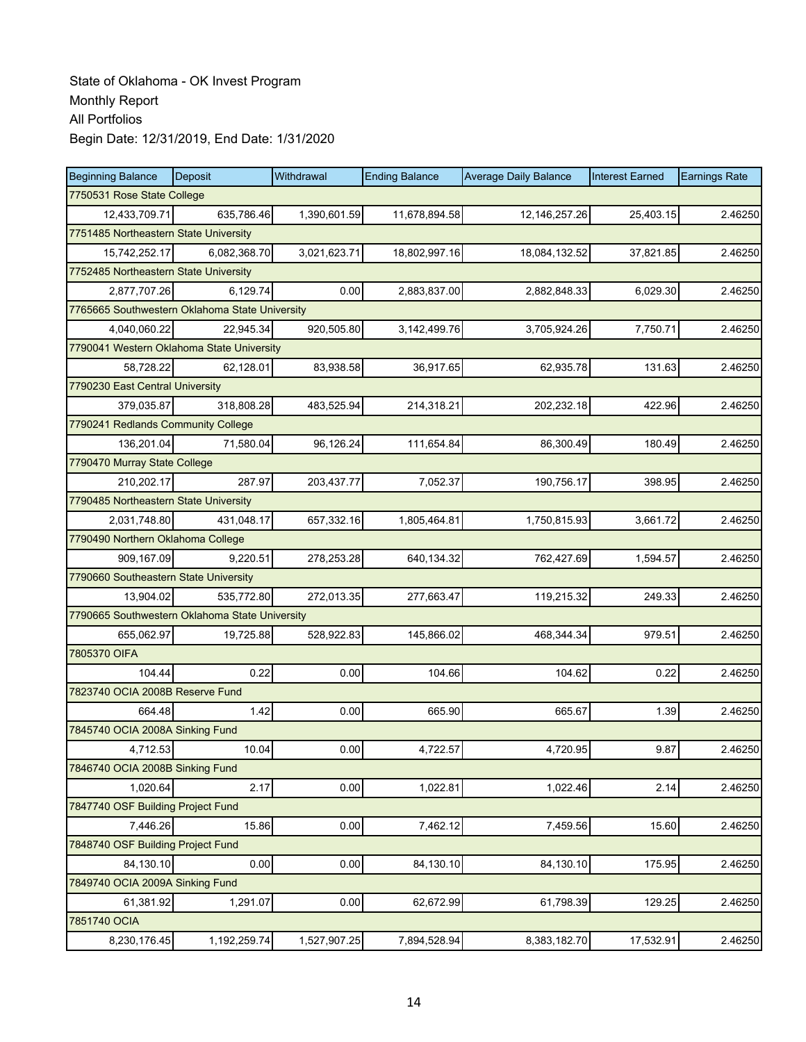| <b>Beginning Balance</b>                       | Deposit      | Withdrawal   | <b>Ending Balance</b> | <b>Average Daily Balance</b> | <b>Interest Earned</b> | <b>Earnings Rate</b> |  |  |
|------------------------------------------------|--------------|--------------|-----------------------|------------------------------|------------------------|----------------------|--|--|
| 7750531 Rose State College                     |              |              |                       |                              |                        |                      |  |  |
| 12,433,709.71                                  | 635,786.46   | 1,390,601.59 | 11,678,894.58         | 12, 146, 257. 26             | 25,403.15              | 2.46250              |  |  |
| 7751485 Northeastern State University          |              |              |                       |                              |                        |                      |  |  |
| 15,742,252.17                                  | 6,082,368.70 | 3,021,623.71 | 18,802,997.16         | 18,084,132.52                | 37,821.85              | 2.46250              |  |  |
| 7752485 Northeastern State University          |              |              |                       |                              |                        |                      |  |  |
| 2,877,707.26                                   | 6,129.74     | 0.00         | 2,883,837.00          | 2,882,848.33                 | 6,029.30               | 2.46250              |  |  |
| 7765665 Southwestern Oklahoma State University |              |              |                       |                              |                        |                      |  |  |
| 4,040,060.22                                   | 22,945.34    | 920,505.80   | 3,142,499.76          | 3,705,924.26                 | 7,750.71               | 2.46250              |  |  |
| 7790041 Western Oklahoma State University      |              |              |                       |                              |                        |                      |  |  |
| 58,728.22                                      | 62,128.01    | 83,938.58    | 36,917.65             | 62,935.78                    | 131.63                 | 2.46250              |  |  |
| 7790230 East Central University                |              |              |                       |                              |                        |                      |  |  |
| 379,035.87                                     | 318,808.28   | 483,525.94   | 214,318.21            | 202,232.18                   | 422.96                 | 2.46250              |  |  |
| 7790241 Redlands Community College             |              |              |                       |                              |                        |                      |  |  |
| 136,201.04                                     | 71,580.04    | 96,126.24    | 111,654.84            | 86,300.49                    | 180.49                 | 2.46250              |  |  |
| 7790470 Murray State College                   |              |              |                       |                              |                        |                      |  |  |
| 210,202.17                                     | 287.97       | 203,437.77   | 7,052.37              | 190,756.17                   | 398.95                 | 2.46250              |  |  |
| 7790485 Northeastern State University          |              |              |                       |                              |                        |                      |  |  |
| 2,031,748.80                                   | 431.048.17   | 657,332.16   | 1,805,464.81          | 1,750,815.93                 | 3,661.72               | 2.46250              |  |  |
| 7790490 Northern Oklahoma College              |              |              |                       |                              |                        |                      |  |  |
| 909,167.09                                     | 9,220.51     | 278,253.28   | 640,134.32            | 762,427.69                   | 1,594.57               | 2.46250              |  |  |
| 7790660 Southeastern State University          |              |              |                       |                              |                        |                      |  |  |
| 13,904.02                                      | 535,772.80   | 272,013.35   | 277,663.47            | 119,215.32                   | 249.33                 | 2.46250              |  |  |
| 7790665 Southwestern Oklahoma State University |              |              |                       |                              |                        |                      |  |  |
| 655,062.97                                     | 19,725.88    | 528,922.83   | 145,866.02            | 468,344.34                   | 979.51                 | 2.46250              |  |  |
| 7805370 OIFA                                   |              |              |                       |                              |                        |                      |  |  |
| 104.44                                         | 0.22         | 0.00         | 104.66                | 104.62                       | 0.22                   | 2.46250              |  |  |
| 7823740 OCIA 2008B Reserve Fund                |              |              |                       |                              |                        |                      |  |  |
| 664.48                                         | 1.42         | 0.00         | 665.90                | 665.67                       | 1.39                   | 2.46250              |  |  |
| 7845740 OCIA 2008A Sinking Fund                |              |              |                       |                              |                        |                      |  |  |
| 4,712.53                                       | 10.04        | 0.00         | 4,722.57              | 4,720.95                     | 9.87                   | 2.46250              |  |  |
| 7846740 OCIA 2008B Sinking Fund                |              |              |                       |                              |                        |                      |  |  |
| 1,020.64                                       | 2.17         | 0.00         | 1,022.81              | 1,022.46                     | 2.14                   | 2.46250              |  |  |
| 7847740 OSF Building Project Fund              |              |              |                       |                              |                        |                      |  |  |
| 7,446.26                                       | 15.86        | 0.00         | 7,462.12              | 7,459.56                     | 15.60                  | 2.46250              |  |  |
| 7848740 OSF Building Project Fund              |              |              |                       |                              |                        |                      |  |  |
| 84,130.10                                      | 0.00         | 0.00         | 84,130.10             | 84,130.10                    | 175.95                 | 2.46250              |  |  |
| 7849740 OCIA 2009A Sinking Fund                |              |              |                       |                              |                        |                      |  |  |
| 61,381.92                                      | 1,291.07     | 0.00         | 62,672.99             | 61,798.39                    | 129.25                 | 2.46250              |  |  |
| 7851740 OCIA                                   |              |              |                       |                              |                        |                      |  |  |
| 8,230,176.45                                   | 1,192,259.74 | 1,527,907.25 | 7,894,528.94          | 8,383,182.70                 | 17,532.91              | 2.46250              |  |  |